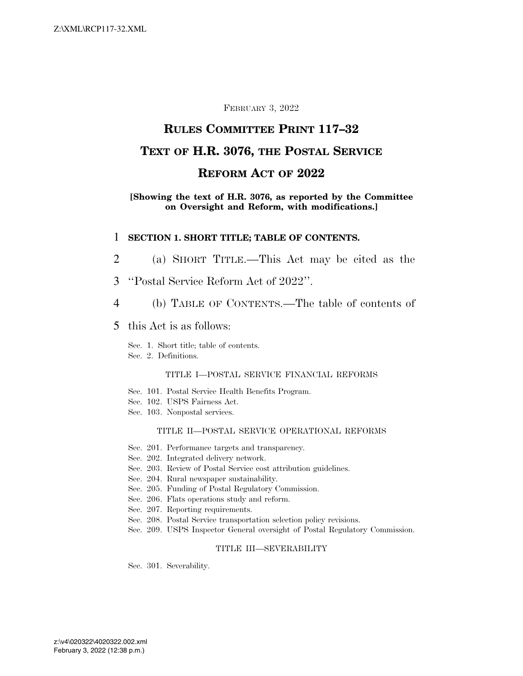### FEBRUARY 3, 2022

## **RULES COMMITTEE PRINT 117–32**

## **TEXT OF H.R. 3076, THE POSTAL SERVICE**

## **REFORM ACT OF 2022**

### **[Showing the text of H.R. 3076, as reported by the Committee on Oversight and Reform, with modifications.]**

### 1 **SECTION 1. SHORT TITLE; TABLE OF CONTENTS.**

- 2 (a) SHORT TITLE.—This Act may be cited as the
- 3 ''Postal Service Reform Act of 2022''.
- 4 (b) TABLE OF CONTENTS.—The table of contents of
- 5 this Act is as follows:

Sec. 1. Short title; table of contents.

Sec. 2. Definitions.

#### TITLE I—POSTAL SERVICE FINANCIAL REFORMS

- Sec. 101. Postal Service Health Benefits Program.
- Sec. 102. USPS Fairness Act.
- Sec. 103. Nonpostal services.

#### TITLE II—POSTAL SERVICE OPERATIONAL REFORMS

- Sec. 201. Performance targets and transparency.
- Sec. 202. Integrated delivery network.
- Sec. 203. Review of Postal Service cost attribution guidelines.
- Sec. 204. Rural newspaper sustainability.
- Sec. 205. Funding of Postal Regulatory Commission.
- Sec. 206. Flats operations study and reform.
- Sec. 207. Reporting requirements.
- Sec. 208. Postal Service transportation selection policy revisions.
- Sec. 209. USPS Inspector General oversight of Postal Regulatory Commission.

#### TITLE III—SEVERABILITY

Sec. 301. Severability.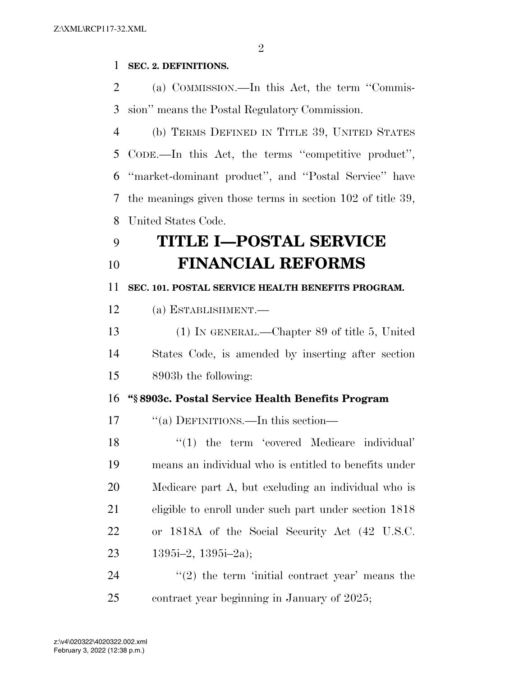## **SEC. 2. DEFINITIONS.**

 (a) COMMISSION.—In this Act, the term ''Commis-sion'' means the Postal Regulatory Commission.

 (b) TERMS DEFINED IN TITLE 39, UNITED STATES CODE.—In this Act, the terms ''competitive product'', ''market-dominant product'', and ''Postal Service'' have the meanings given those terms in section 102 of title 39, United States Code.

# **TITLE I—POSTAL SERVICE FINANCIAL REFORMS**

**SEC. 101. POSTAL SERVICE HEALTH BENEFITS PROGRAM.** 

(a) ESTABLISHMENT.—

 (1) IN GENERAL.—Chapter 89 of title 5, United States Code, is amended by inserting after section 8903b the following:

## **''§ 8903c. Postal Service Health Benefits Program**

17 "(a) DEFINITIONS.—In this section—

 ''(1) the term 'covered Medicare individual' means an individual who is entitled to benefits under Medicare part A, but excluding an individual who is eligible to enroll under such part under section 1818 or 1818A of the Social Security Act (42 U.S.C. 1395i–2, 1395i–2a);

24  $(2)$  the term 'initial contract year' means the contract year beginning in January of 2025;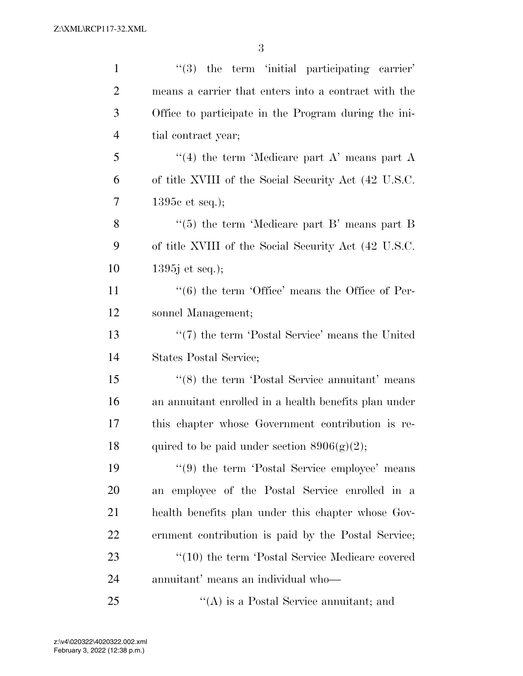| $\mathbf{1}$   | $\lq(3)$ the term 'initial participating carrier'           |
|----------------|-------------------------------------------------------------|
| $\overline{2}$ | means a carrier that enters into a contract with the        |
| 3              | Office to participate in the Program during the ini-        |
| $\overline{4}$ | tial contract year;                                         |
| 5              | "(4) the term 'Medicare part A' means part A                |
| 6              | of title XVIII of the Social Security Act (42 U.S.C.        |
| 7              | 1395 $c$ et seq.);                                          |
| 8              | "(5) the term 'Medicare part B' means part B                |
| 9              | of title XVIII of the Social Security Act (42 U.S.C.        |
| 10             | $1395j$ et seq.);                                           |
| 11             | $\cdot\cdot$ (6) the term 'Office' means the Office of Per- |
| 12             | sonnel Management;                                          |
| 13             | $\lq(7)$ the term 'Postal Service' means the United         |
| 14             | States Postal Service;                                      |
| 15             | $\cdot\cdot$ (8) the term 'Postal Service annuitant' means  |
| 16             | an annuitant enrolled in a health benefits plan under       |
| 17             | this chapter whose Government contribution is re-           |
| 18             | quired to be paid under section $8906(g)(2)$ ;              |
| 19             | $\lq(9)$ the term 'Postal Service employee' means           |
| <b>20</b>      | an employee of the Postal Service enrolled in a             |
| 21             | health benefits plan under this chapter whose Gov-          |
| 22             | ernment contribution is paid by the Postal Service;         |
| 23             | "(10) the term 'Postal Service Medicare covered             |
| 24             | annuitant' means an individual who—                         |
| 25             | $\lq\lq$ is a Postal Service annuitant; and                 |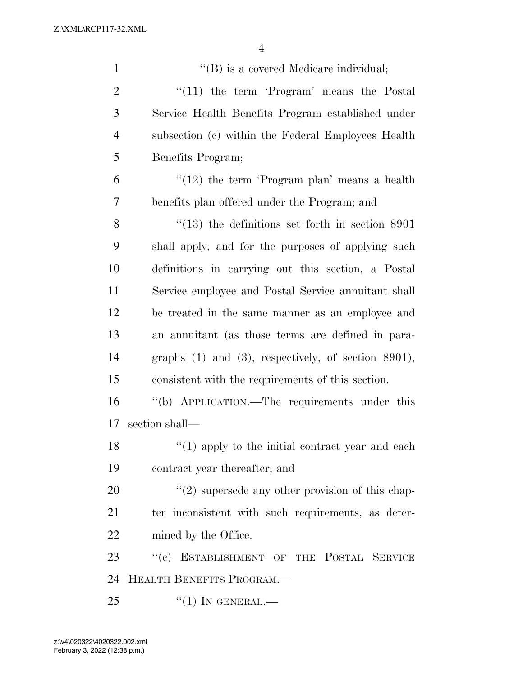| $\mathbf{1}$   | "(B) is a covered Medicare individual;                   |
|----------------|----------------------------------------------------------|
| $\overline{2}$ | $\lq(11)$ the term 'Program' means the Postal            |
| 3              | Service Health Benefits Program established under        |
| $\overline{4}$ | subsection (c) within the Federal Employees Health       |
| 5              | Benefits Program;                                        |
| 6              | $\lq(12)$ the term 'Program plan' means a health         |
| 7              | benefits plan offered under the Program; and             |
| 8              | $\degree$ (13) the definitions set forth in section 8901 |
| 9              | shall apply, and for the purposes of applying such       |
| 10             | definitions in carrying out this section, a Postal       |
| 11             | Service employee and Postal Service annuitant shall      |
| 12             | be treated in the same manner as an employee and         |
| 13             | an annuitant (as those terms are defined in para-        |
| 14             | graphs $(1)$ and $(3)$ , respectively, of section 8901), |
| 15             | consistent with the requirements of this section.        |
| 16             | "(b) APPLICATION.—The requirements under this            |
| 17             | section shall—                                           |
| 18             | $f'(1)$ apply to the initial contract year and each      |
| 19             | contract year thereafter; and                            |
| 20             | $\lq(2)$ supersede any other provision of this chap-     |
| 21             | ter inconsistent with such requirements, as deter-       |
| 22             | mined by the Office.                                     |
| 23             | ESTABLISHMENT OF THE POSTAL SERVICE<br>``(e)             |
| 24             | HEALTH BENEFITS PROGRAM.                                 |
| 25             | $``(1)$ In GENERAL.—                                     |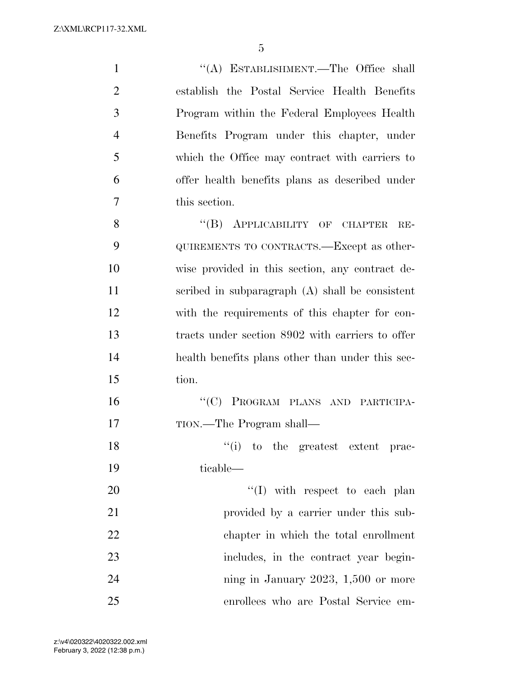''(A) ESTABLISHMENT.—The Office shall establish the Postal Service Health Benefits Program within the Federal Employees Health Benefits Program under this chapter, under which the Office may contract with carriers to offer health benefits plans as described under this section. 8 "(B) APPLICABILITY OF CHAPTER RE- QUIREMENTS TO CONTRACTS.—Except as other- wise provided in this section, any contract de-scribed in subparagraph (A) shall be consistent

 with the requirements of this chapter for con- tracts under section 8902 with carriers to offer health benefits plans other than under this sec-tion.

 ''(C) PROGRAM PLANS AND PARTICIPA-TION.—The Program shall—

18  $"(i)$  to the greatest extent prac-ticable—

 $\frac{1}{20}$  with respect to each plan provided by a carrier under this sub- chapter in which the total enrollment includes, in the contract year begin-24 ning in January 2023, 1,500 or more enrollees who are Postal Service em-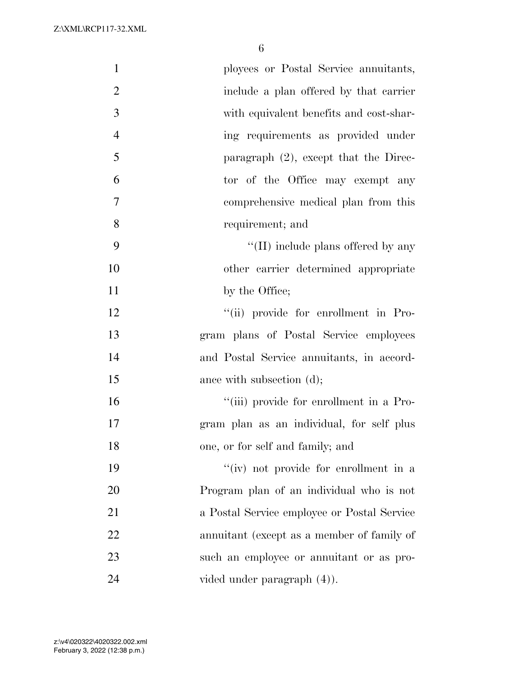| $\mathbf{1}$   | ployees or Postal Service annuitants,       |
|----------------|---------------------------------------------|
| $\overline{2}$ | include a plan offered by that carrier      |
| 3              | with equivalent benefits and cost-shar-     |
| $\overline{4}$ | ing requirements as provided under          |
| 5              | paragraph $(2)$ , except that the Direc-    |
| 6              | tor of the Office may exempt any            |
| $\overline{7}$ | comprehensive medical plan from this        |
| 8              | requirement; and                            |
| 9              | $\lq\lq$ (II) include plans offered by any  |
| 10             | other carrier determined appropriate        |
| 11             | by the Office;                              |
| 12             | "(ii) provide for enrollment in Pro-        |
| 13             | gram plans of Postal Service employees      |
| 14             | and Postal Service annuitants, in accord-   |
| 15             | ance with subsection (d);                   |
| 16             | "(iii) provide for enrollment in a Pro-     |
| 17             | gram plan as an individual, for self plus   |
| 18             | one, or for self and family; and            |
| 19             | "(iv) not provide for enrollment in a       |
| 20             | Program plan of an individual who is not    |
| 21             | a Postal Service employee or Postal Service |
| 22             | annuitant (except as a member of family of  |
| 23             | such an employee or annuitant or as pro-    |
| 24             | vided under paragraph (4).                  |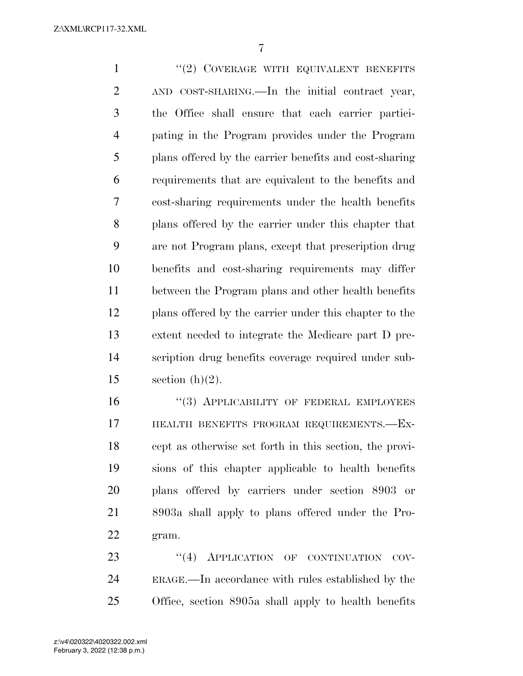1 ''(2) COVERAGE WITH EQUIVALENT BENEFITS AND COST-SHARING.—In the initial contract year, the Office shall ensure that each carrier partici- pating in the Program provides under the Program plans offered by the carrier benefits and cost-sharing requirements that are equivalent to the benefits and cost-sharing requirements under the health benefits plans offered by the carrier under this chapter that are not Program plans, except that prescription drug benefits and cost-sharing requirements may differ between the Program plans and other health benefits plans offered by the carrier under this chapter to the extent needed to integrate the Medicare part D pre- scription drug benefits coverage required under sub-15 section  $(h)(2)$ .

16 "(3) APPLICABILITY OF FEDERAL EMPLOYEES HEALTH BENEFITS PROGRAM REQUIREMENTS.—Ex- cept as otherwise set forth in this section, the provi- sions of this chapter applicable to health benefits plans offered by carriers under section 8903 or 8903a shall apply to plans offered under the Pro-gram.

23 "(4) APPLICATION OF CONTINUATION COV- ERAGE.—In accordance with rules established by the Office, section 8905a shall apply to health benefits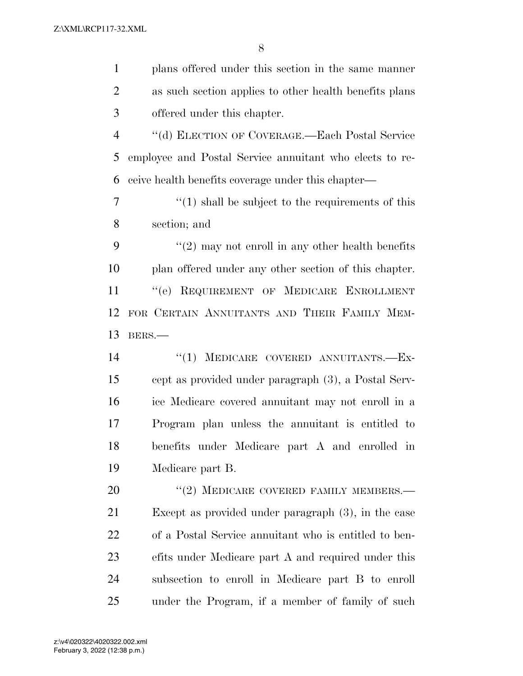| $\mathbf{1}$   | plans offered under this section in the same manner         |
|----------------|-------------------------------------------------------------|
| $\overline{2}$ | as such section applies to other health benefits plans      |
| 3              | offered under this chapter.                                 |
| $\overline{4}$ | "(d) ELECTION OF COVERAGE.—Each Postal Service              |
| 5              | employee and Postal Service annuitant who elects to re-     |
| 6              | ceive health benefits coverage under this chapter—          |
| 7              | $\cdot$ (1) shall be subject to the requirements of this    |
| 8              | section; and                                                |
| 9              | $\cdot\cdot(2)$ may not enroll in any other health benefits |
| 10             | plan offered under any other section of this chapter.       |
| 11             | "(e) REQUIREMENT OF MEDICARE ENROLLMENT                     |
| 12             | FOR CERTAIN ANNUITANTS AND THEIR FAMILY MEM-                |
| 13             | BERS.                                                       |
| 14             | MEDICARE COVERED ANNUITANTS.-Ex-<br>``(1)                   |
| 15             | cept as provided under paragraph (3), a Postal Serv-        |
| 16             | ice Medicare covered annuitant may not enroll in a          |
| 17             | Program plan unless the annuitant is entitled to            |
| 18             | benefits under Medicare part A and enrolled in              |
| 19             | Medicare part B.                                            |
| 20             | $``(2)$ MEDICARE COVERED FAMILY MEMBERS.—                   |
| 21             | Except as provided under paragraph $(3)$ , in the case      |
| 22             | of a Postal Service annuitant who is entitled to ben-       |
| 23             | efits under Medicare part A and required under this         |
| 24             | subsection to enroll in Medicare part B to enroll           |
| 25             | under the Program, if a member of family of such            |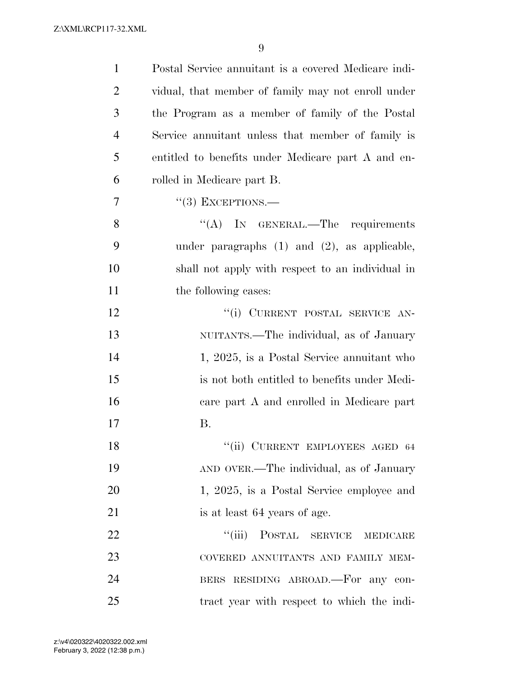| $\mathbf{1}$   | Postal Service annuitant is a covered Medicare indi- |
|----------------|------------------------------------------------------|
| $\overline{2}$ | vidual, that member of family may not enroll under   |
| 3              | the Program as a member of family of the Postal      |
| $\overline{4}$ | Service annuitant unless that member of family is    |
| 5              | entitled to benefits under Medicare part A and en-   |
| 6              | rolled in Medicare part B.                           |
| 7              | $``(3)$ EXCEPTIONS.—                                 |
| 8              | "(A) IN GENERAL.—The requirements                    |
| 9              | under paragraphs $(1)$ and $(2)$ , as applicable,    |
| 10             | shall not apply with respect to an individual in     |
| 11             | the following cases:                                 |
| 12             | "(i) CURRENT POSTAL SERVICE AN-                      |
| 13             | NUITANTS.—The individual, as of January              |
| 14             | 1, 2025, is a Postal Service annuitant who           |
| 15             | is not both entitled to benefits under Medi-         |
| 16             | care part A and enrolled in Medicare part            |
| 17             | Β.                                                   |
| 18             | "(ii) CURRENT EMPLOYEES AGED 64                      |
| 19             | AND OVER.—The individual, as of January              |
| 20             | 1, 2025, is a Postal Service employee and            |
| 21             | is at least 64 years of age.                         |
| 22             | "(iii) POSTAL SERVICE MEDICARE                       |
| 23             | COVERED ANNUITANTS AND FAMILY MEM-                   |
| 24             | BERS RESIDING ABROAD.-For any con-                   |
| 25             | tract year with respect to which the indi-           |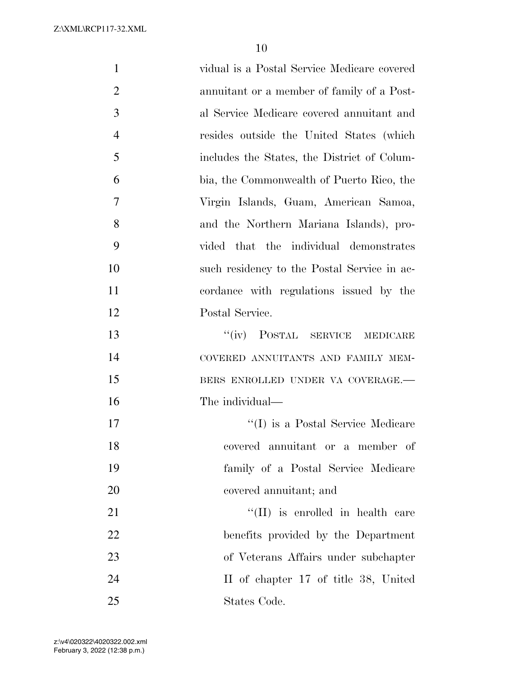vidual is a Postal Service Medicare covered annuitant or a member of family of a Post- al Service Medicare covered annuitant and resides outside the United States (which includes the States, the District of Colum- bia, the Commonwealth of Puerto Rico, the Virgin Islands, Guam, American Samoa, and the Northern Mariana Islands), pro- vided that the individual demonstrates such residency to the Postal Service in ac- cordance with regulations issued by the Postal Service. 13 "(iv) POSTAL SERVICE MEDICARE COVERED ANNUITANTS AND FAMILY MEM-15 BERS ENROLLED UNDER VA COVERAGE. The individual—  $\text{``(I)}$  is a Postal Service Medicare covered annuitant or a member of family of a Postal Service Medicare covered annuitant; and 21 ''(II) is enrolled in health care benefits provided by the Department of Veterans Affairs under subchapter II of chapter 17 of title 38, United States Code.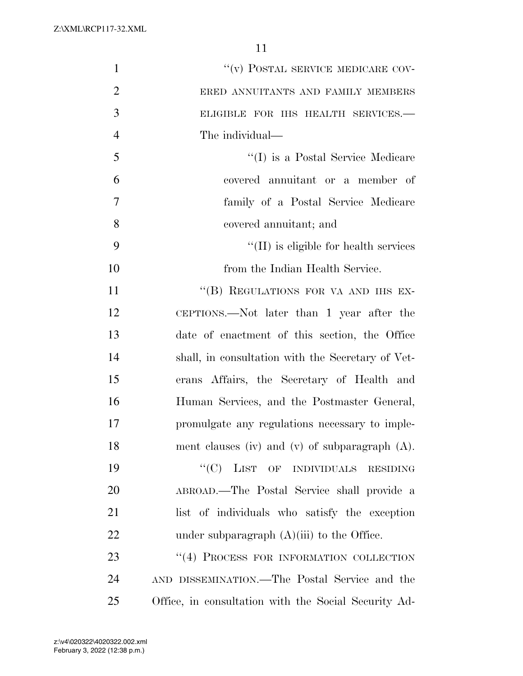| $\mathbf{1}$   | "(v) POSTAL SERVICE MEDICARE COV-                    |
|----------------|------------------------------------------------------|
| $\overline{2}$ | ERED ANNUITANTS AND FAMILY MEMBERS                   |
| 3              | ELIGIBLE FOR IHS HEALTH SERVICES.-                   |
| $\overline{4}$ | The individual—                                      |
| 5              | "(I) is a Postal Service Medicare                    |
| 6              | covered annuitant or a member of                     |
| 7              | family of a Postal Service Medicare                  |
| 8              | covered annuitant; and                               |
| 9              | $\lq\lq$ (II) is eligible for health services        |
| 10             | from the Indian Health Service.                      |
| 11             | "(B) REGULATIONS FOR VA AND IHS EX-                  |
| 12             | CEPTIONS.—Not later than 1 year after the            |
| 13             | date of enactment of this section, the Office        |
| 14             | shall, in consultation with the Secretary of Vet-    |
| 15             | erans Affairs, the Secretary of Health and           |
| 16             | Human Services, and the Postmaster General,          |
| 17             | promulgate any regulations necessary to imple-       |
| 18             | ment clauses (iv) and (v) of subparagraph $(A)$ .    |
| 19             | "(C) LIST OF INDIVIDUALS RESIDING                    |
| 20             | ABROAD.—The Postal Service shall provide a           |
| 21             | list of individuals who satisfy the exception        |
| 22             | under subparagraph $(A)(iii)$ to the Office.         |
| 23             | "(4) PROCESS FOR INFORMATION COLLECTION              |
| 24             | AND DISSEMINATION.—The Postal Service and the        |
| 25             | Office, in consultation with the Social Security Ad- |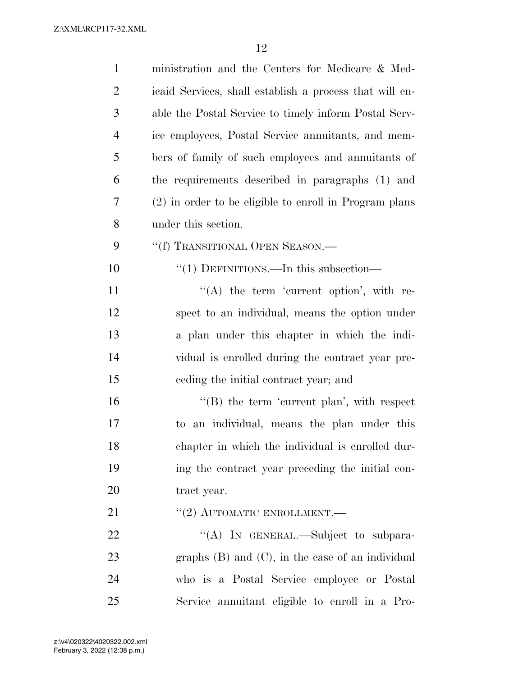| $\mathbf{1}$   | ministration and the Centers for Medicare & Med-        |
|----------------|---------------------------------------------------------|
| $\overline{2}$ | icaid Services, shall establish a process that will en- |
| 3              | able the Postal Service to timely inform Postal Serv-   |
| $\overline{4}$ | ice employees, Postal Service annuitants, and mem-      |
| 5              | bers of family of such employees and annuitants of      |
| 6              | the requirements described in paragraphs (1) and        |
| 7              | (2) in order to be eligible to enroll in Program plans  |
| 8              | under this section.                                     |
| 9              | "(f) TRANSITIONAL OPEN SEASON.—                         |
| 10             | "(1) DEFINITIONS.—In this subsection—                   |
| 11             | $\lq\lq$ the term 'current option', with re-            |
| 12             | spect to an individual, means the option under          |
| 13             | a plan under this chapter in which the indi-            |
| 14             | vidual is enrolled during the contract year pre-        |
| 15             | eeding the initial contract year; and                   |
| 16             | $\lq\lq$ the term 'current plan', with respect          |
| 17             | an individual, means the plan under this<br>to          |
| 18             | chapter in which the individual is enrolled dur-        |
| 19             | ing the contract year preceding the initial con-        |
| 20             | tract year.                                             |
| 21             | "(2) AUTOMATIC ENROLLMENT.—                             |
| 22             | "(A) IN GENERAL.—Subject to subpara-                    |
| 23             | graphs $(B)$ and $(C)$ , in the case of an individual   |
| 24             | who is a Postal Service employee or Postal              |
| 25             | Service annuitant eligible to enroll in a Pro-          |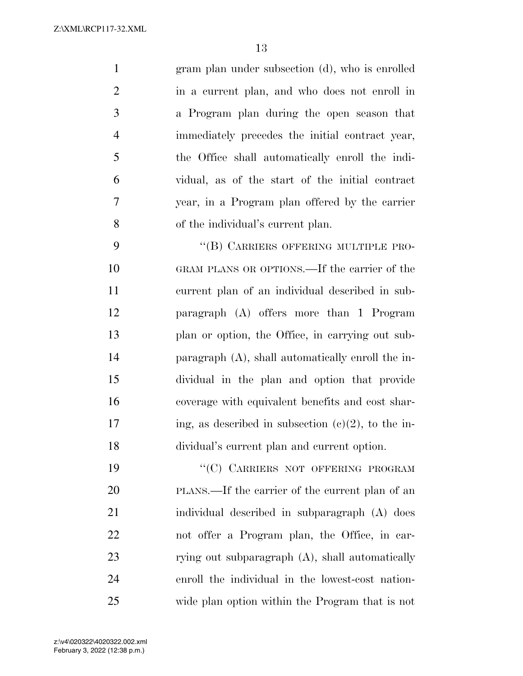gram plan under subsection (d), who is enrolled in a current plan, and who does not enroll in a Program plan during the open season that immediately precedes the initial contract year, the Office shall automatically enroll the indi- vidual, as of the start of the initial contract year, in a Program plan offered by the carrier of the individual's current plan.

9 "(B) CARRIERS OFFERING MULTIPLE PRO- GRAM PLANS OR OPTIONS.—If the carrier of the current plan of an individual described in sub- paragraph (A) offers more than 1 Program plan or option, the Office, in carrying out sub- paragraph (A), shall automatically enroll the in- dividual in the plan and option that provide coverage with equivalent benefits and cost shar-17 ing, as described in subsection  $(c)(2)$ , to the in-dividual's current plan and current option.

19 "'(C) CARRIERS NOT OFFERING PROGRAM PLANS.—If the carrier of the current plan of an individual described in subparagraph (A) does not offer a Program plan, the Office, in car-23 rying out subparagraph (A), shall automatically enroll the individual in the lowest-cost nation-wide plan option within the Program that is not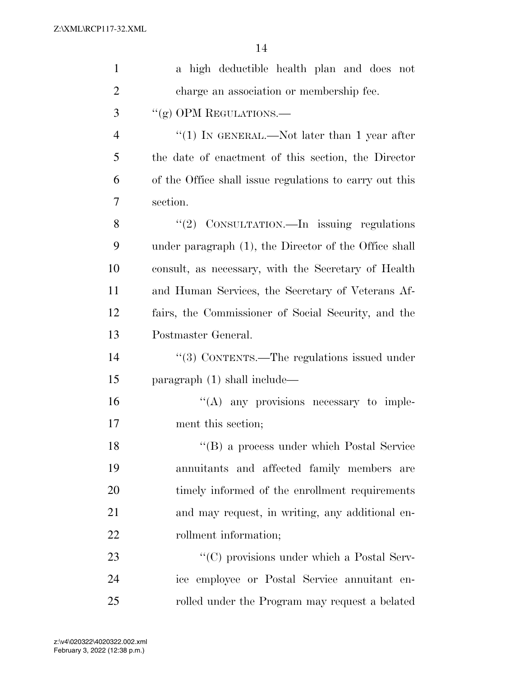| $\mathbf{1}$   | a high deductible health plan and does not              |
|----------------|---------------------------------------------------------|
| $\overline{2}$ | charge an association or membership fee.                |
| 3              | "(g) OPM REGULATIONS.—                                  |
| $\overline{4}$ | "(1) IN GENERAL.—Not later than 1 year after            |
| 5              | the date of enactment of this section, the Director     |
| 6              | of the Office shall issue regulations to carry out this |
| 7              | section.                                                |
| 8              | "(2) CONSULTATION.—In issuing regulations               |
| 9              | under paragraph (1), the Director of the Office shall   |
| 10             | consult, as necessary, with the Secretary of Health     |
| 11             | and Human Services, the Secretary of Veterans Af-       |
| 12             | fairs, the Commissioner of Social Security, and the     |
| 13             | Postmaster General.                                     |
| 14             | "(3) CONTENTS.—The regulations issued under             |
| 15             | paragraph $(1)$ shall include—                          |
| 16             | $\lq\lq$ any provisions necessary to imple-             |
| 17             | ment this section;                                      |
| 18             | "(B) a process under which Postal Service               |
| 19             | annuitants and affected family members are              |
| 20             | timely informed of the enrollment requirements          |
| 21             | and may request, in writing, any additional en-         |
| 22             | rollment information;                                   |
| 23             | "(C) provisions under which a Postal Serv-              |
| 24             | ice employee or Postal Service annuitant en-            |
| 25             | rolled under the Program may request a belated          |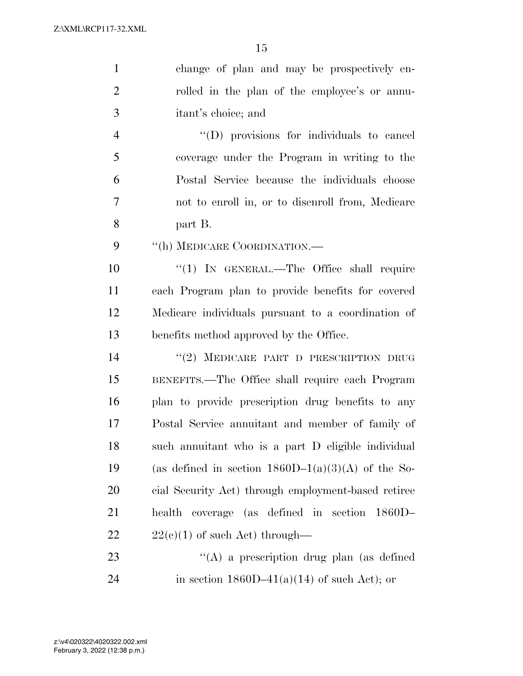| $\mathbf{1}$   | change of plan and may be prospectively en-          |
|----------------|------------------------------------------------------|
| $\overline{2}$ | rolled in the plan of the employee's or annu-        |
| 3              | itant's choice; and                                  |
| 4              | "(D) provisions for individuals to cancel            |
| 5              | coverage under the Program in writing to the         |
| 6              | Postal Service because the individuals choose        |
| 7              | not to enroll in, or to disenroll from, Medicare     |
| 8              | part B.                                              |
| 9              | "(h) MEDICARE COORDINATION.—                         |
| 10             | " $(1)$ IN GENERAL.—The Office shall require         |
| 11             | each Program plan to provide benefits for covered    |
| 12             | Medicare individuals pursuant to a coordination of   |
| 13             | benefits method approved by the Office.              |
| 14             | "(2) MEDICARE PART D PRESCRIPTION DRUG               |
| 15             | BENEFITS.—The Office shall require each Program      |
| 16             | plan to provide prescription drug benefits to any    |
| 17             | Postal Service annuitant and member of family of     |
| 18             | such annuitant who is a part D eligible individual   |
| 19             | (as defined in section $1860D-1(a)(3)(A)$ of the So- |
| 20             | cial Security Act) through employment-based retiree  |
| 21             | health coverage (as defined in section<br>$1860D-$   |
| 22             | $22(c)(1)$ of such Act) through—                     |
| 23             | "(A) a prescription drug plan (as defined            |
| 24             | in section $1860D-41(a)(14)$ of such Act); or        |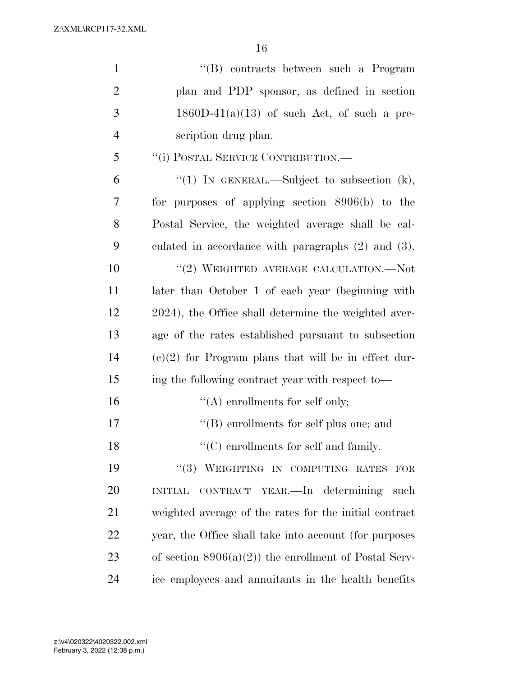| $\mathbf{1}$   |                                                         |
|----------------|---------------------------------------------------------|
|                | "(B) contracts between such a Program                   |
| $\overline{2}$ | plan and PDP sponsor, as defined in section             |
| 3              | $1860D-41(a)(13)$ of such Act, of such a pre-           |
| $\overline{4}$ | scription drug plan.                                    |
| 5              | "(i) POSTAL SERVICE CONTRIBUTION.—                      |
| 6              | "(1) IN GENERAL.—Subject to subsection $(k)$ ,          |
| 7              | for purposes of applying section $8906(b)$ to the       |
| 8              | Postal Service, the weighted average shall be cal-      |
| 9              | culated in accordance with paragraphs $(2)$ and $(3)$ . |
| 10             | "(2) WEIGHTED AVERAGE CALCULATION.—Not                  |
| 11             | later than October 1 of each year (beginning with       |
| 12             | 2024), the Office shall determine the weighted aver-    |
| 13             | age of the rates established pursuant to subsection     |
| 14             | $(e)(2)$ for Program plans that will be in effect dur-  |
| 15             | ing the following contract year with respect to-        |
| 16             | $\lq\lq$ enrollments for self only;                     |
| 17             | $\lq\lq$ (B) enrollments for self plus one; and         |
| 18             | $\lq\lq$ (C) enrollments for self and family.           |
| 19             | "(3) WEIGHTING IN COMPUTING RATES<br>FOR                |
| 20             | INITIAL CONTRACT YEAR.—In determining such              |
| 21             | weighted average of the rates for the initial contract  |
| 22             | year, the Office shall take into account (for purposes  |
| 23             | of section $8906(a)(2)$ the enrollment of Postal Serv-  |
| 24             | ice employees and annuitants in the health benefits     |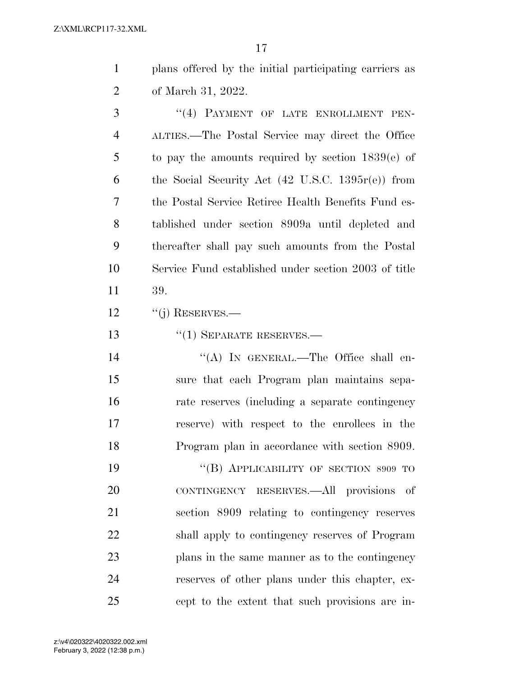plans offered by the initial participating carriers as of March 31, 2022.

3 "(4) PAYMENT OF LATE ENROLLMENT PEN- ALTIES.—The Postal Service may direct the Office to pay the amounts required by section 1839(e) of the Social Security Act (42 U.S.C. 1395r(e)) from the Postal Service Retiree Health Benefits Fund es- tablished under section 8909a until depleted and thereafter shall pay such amounts from the Postal Service Fund established under section 2003 of title 39.

12 "(j) RESERVES.—

13 "(1) SEPARATE RESERVES.—

14 "(A) IN GENERAL.—The Office shall en- sure that each Program plan maintains sepa- rate reserves (including a separate contingency reserve) with respect to the enrollees in the Program plan in accordance with section 8909.

19 "(B) APPLICABILITY OF SECTION 8909 TO CONTINGENCY RESERVES.—All provisions of section 8909 relating to contingency reserves shall apply to contingency reserves of Program plans in the same manner as to the contingency reserves of other plans under this chapter, ex-cept to the extent that such provisions are in-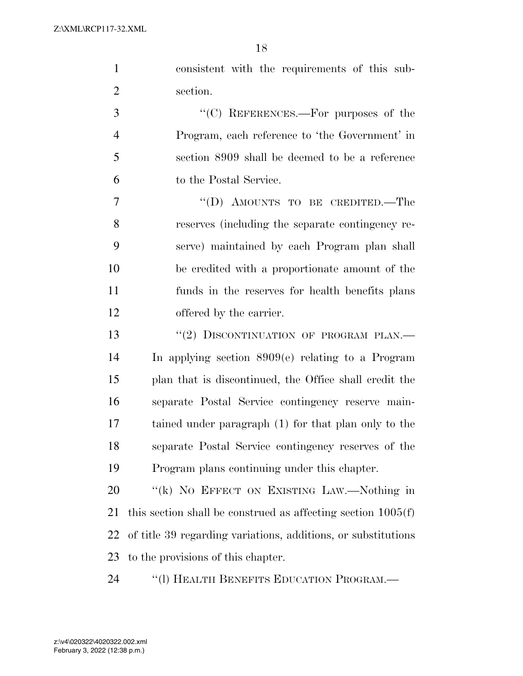| $\mathbf{1}$   | consistent with the requirements of this sub-                  |
|----------------|----------------------------------------------------------------|
| $\overline{2}$ | section.                                                       |
| 3              | "(C) REFERENCES.—For purposes of the                           |
| $\overline{4}$ | Program, each reference to 'the Government' in                 |
| 5              | section 8909 shall be deemed to be a reference                 |
| 6              | to the Postal Service.                                         |
| 7              | "(D) AMOUNTS TO BE CREDITED.—The                               |
| 8              | reserves (including the separate contingency re-               |
| 9              | serve) maintained by each Program plan shall                   |
| 10             | be credited with a proportionate amount of the                 |
| 11             | funds in the reserves for health benefits plans                |
| 12             | offered by the carrier.                                        |
| 13             | "(2) DISCONTINUATION OF PROGRAM PLAN.-                         |
| 14             | In applying section $8909(e)$ relating to a Program            |
| 15             | plan that is discontinued, the Office shall credit the         |
| 16             | separate Postal Service contingency reserve main-              |
| 17             | tained under paragraph (1) for that plan only to the           |
| 18             | separate Postal Service contingency reserves of the            |
| 19             | Program plans continuing under this chapter.                   |
| 20             | "(k) NO EFFECT ON EXISTING LAW.—Nothing in                     |
| 21             | this section shall be construed as affecting section $1005(f)$ |
| 22             | of title 39 regarding variations, additions, or substitutions  |
| 23             | to the provisions of this chapter.                             |
| 24             | "(1) HEALTH BENEFITS EDUCATION PROGRAM.—                       |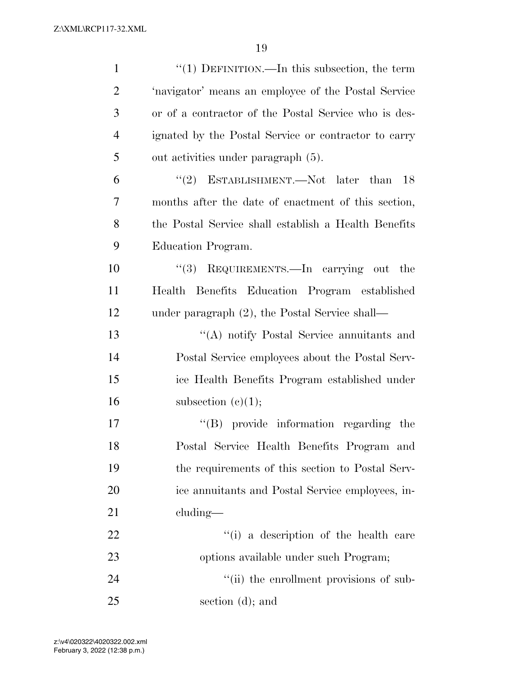| $\mathbf{1}$   | "(1) DEFINITION.—In this subsection, the term        |
|----------------|------------------------------------------------------|
| $\overline{2}$ | 'navigator' means an employee of the Postal Service  |
| 3              | or of a contractor of the Postal Service who is des- |
| $\overline{4}$ | ignated by the Postal Service or contractor to carry |
| 5              | out activities under paragraph (5).                  |
| 6              | "(2) ESTABLISHMENT.—Not later than<br>-18            |
| 7              | months after the date of enactment of this section,  |
| 8              | the Postal Service shall establish a Health Benefits |
| 9              | Education Program.                                   |
| 10             | "(3) REQUIREMENTS.—In carrying out the               |
| 11             | Health Benefits Education Program established        |
| 12             | under paragraph $(2)$ , the Postal Service shall—    |
| 13             | "(A) notify Postal Service annuitants and            |
| 14             | Postal Service employees about the Postal Serv-      |
| 15             | ice Health Benefits Program established under        |
| 16             | subsection $(c)(1);$                                 |
| 17             | "(B) provide information regarding the               |
| 18             | Postal Service Health Benefits Program and           |
| 19             | the requirements of this section to Postal Serv-     |
| 20             | ice annuitants and Postal Service employees, in-     |
| 21             | $cluding$ —                                          |
| 22             | "(i) a description of the health care                |
| 23             | options available under such Program;                |
| 24             | "(ii) the enrollment provisions of sub-              |
| 25             | section (d); and                                     |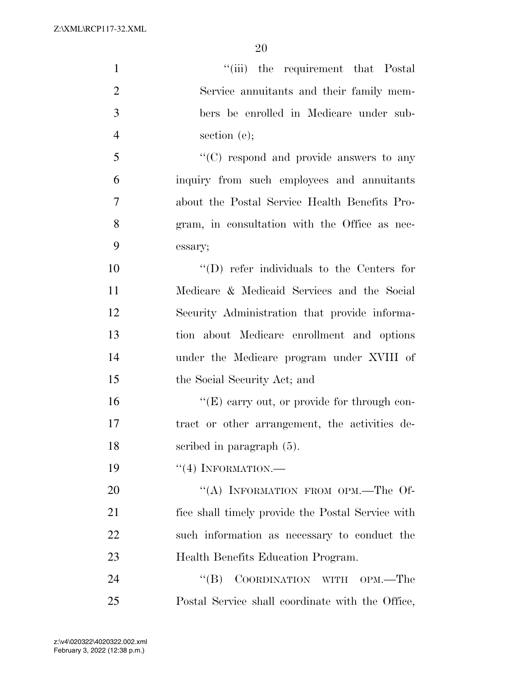| $\mathbf{1}$   | "(iii) the requirement that Postal                |
|----------------|---------------------------------------------------|
| $\overline{2}$ | Service annuitants and their family mem-          |
| 3              | bers be enrolled in Medicare under sub-           |
| $\overline{4}$ | section $(e)$ ;                                   |
| 5              | $\lq\lq$ (C) respond and provide answers to any   |
| 6              | inquiry from such employees and annuitants        |
| $\overline{7}$ | about the Postal Service Health Benefits Pro-     |
| 8              | gram, in consultation with the Office as nec-     |
| 9              | essary;                                           |
| 10             | $\lq\lq$ (D) refer individuals to the Centers for |
| 11             | Medicare & Medicaid Services and the Social       |
| 12             | Security Administration that provide informa-     |
| 13             | tion about Medicare enrollment and options        |
| 14             | under the Medicare program under XVIII of         |
| 15             | the Social Security Act; and                      |
| 16             | " $(E)$ carry out, or provide for through con-    |
| 17             | tract or other arrangement, the activities de-    |
| 18             | scribed in paragraph $(5)$ .                      |
| 19             | $``(4)$ INFORMATION.—                             |
| 20             | "(A) INFORMATION FROM OPM.—The Of-                |
| 21             | fice shall timely provide the Postal Service with |
| 22             | such information as necessary to conduct the      |
| 23             | Health Benefits Education Program.                |
| 24             | ``(B)<br>COORDINATION WITH OPM.—The               |
| 25             | Postal Service shall coordinate with the Office,  |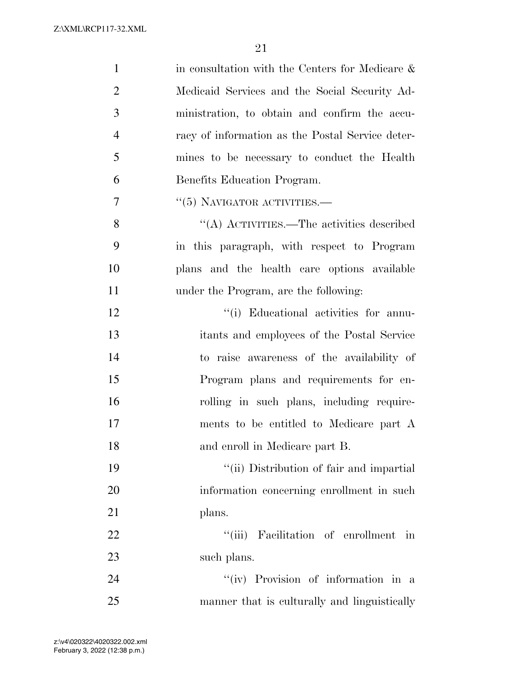| $\mathbf{1}$   | in consultation with the Centers for Medicare $\&$ |
|----------------|----------------------------------------------------|
| $\overline{2}$ | Medicaid Services and the Social Security Ad-      |
| 3              | ministration, to obtain and confirm the accu-      |
| $\overline{4}$ | racy of information as the Postal Service deter-   |
| 5              | mines to be necessary to conduct the Health        |
| 6              | Benefits Education Program.                        |
| 7              | $\cdot\cdot$ (5) NAVIGATOR ACTIVITIES.—            |
| 8              | "(A) ACTIVITIES.—The activities described          |
| 9              | in this paragraph, with respect to Program         |
| 10             | plans and the health care options available        |
| 11             | under the Program, are the following:              |
| 12             | "(i) Educational activities for annu-              |
| 13             | itants and employees of the Postal Service         |
| 14             | to raise awareness of the availability of          |
| 15             | Program plans and requirements for en-             |
| 16             | rolling in such plans, including require-          |
| 17             | ments to be entitled to Medicare part A            |
| 18             | and enroll in Medicare part B.                     |
| 19             | "(ii) Distribution of fair and impartial           |
| 20             | information concerning enrollment in such          |
| 21             | plans.                                             |
| 22             | "(iii) Facilitation of enrollment<br>in            |
| 23             | such plans.                                        |
| 24             | "(iv) Provision of information in a                |
| 25             | manner that is culturally and linguistically       |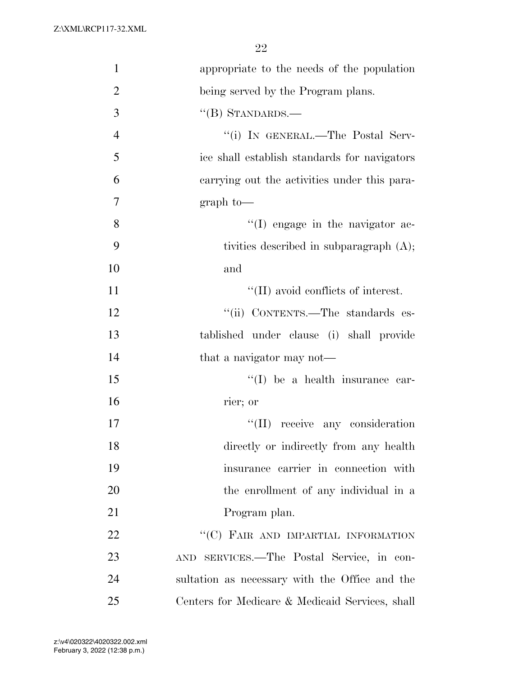| $\mathbf{1}$   | appropriate to the needs of the population      |
|----------------|-------------------------------------------------|
| $\overline{2}$ | being served by the Program plans.              |
| 3              | $\lq\lq (B)$ STANDARDS.—                        |
| $\overline{4}$ | "(i) IN GENERAL.—The Postal Serv-               |
| 5              | ice shall establish standards for navigators    |
| 6              | carrying out the activities under this para-    |
| 7              | $graph$ to-                                     |
| 8              | $\lq\lq$ (I) engage in the navigator ac-        |
| 9              | tivities described in subparagraph (A);         |
| 10             | and                                             |
| 11             | "(II) avoid conflicts of interest.              |
| 12             | "(ii) CONTENTS.—The standards es-               |
| 13             | tablished under clause (i) shall provide        |
| 14             | that a navigator may not—                       |
| 15             | $\lq\lq$ be a health insurance car-             |
| 16             | rier; or                                        |
| 17             | "(II) receive any consideration                 |
| 18             | directly or indirectly from any health          |
| 19             | insurance carrier in connection with            |
| 20             | the enrollment of any individual in a           |
| 21             | Program plan.                                   |
| 22             | "(C) FAIR AND IMPARTIAL INFORMATION             |
| 23             | AND SERVICES.—The Postal Service, in con-       |
| 24             | sultation as necessary with the Office and the  |
| 25             | Centers for Medicare & Medicaid Services, shall |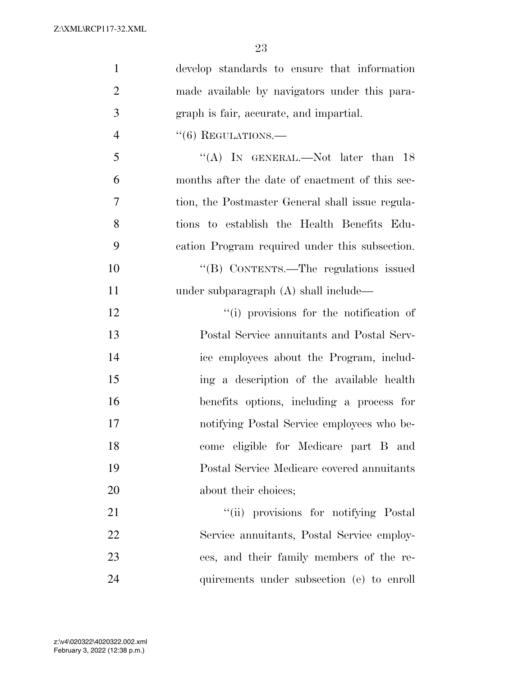| $\mathbf{1}$   | develop standards to ensure that information     |
|----------------|--------------------------------------------------|
| $\overline{2}$ | made available by navigators under this para-    |
| 3              | graph is fair, accurate, and impartial.          |
| $\overline{4}$ | $``(6)$ REGULATIONS.—                            |
| 5              | "(A) IN GENERAL.—Not later than $18$             |
| 6              | months after the date of enactment of this sec-  |
| 7              | tion, the Postmaster General shall issue regula- |
| 8              | tions to establish the Health Benefits Edu-      |
| 9              | cation Program required under this subsection.   |
| 10             | "(B) CONTENTS.—The regulations issued            |
| 11             | under subparagraph $(A)$ shall include—          |
| 12             | "(i) provisions for the notification of          |
| 13             | Postal Service annuitants and Postal Serv-       |
| 14             | ice employees about the Program, includ-         |
| 15             | ing a description of the available health        |
| 16             | benefits options, including a process for        |
| 17             | notifying Postal Service employees who be-       |
| 18             | come eligible for Medicare part B and            |
| 19             | Postal Service Medicare covered annuitants       |
| 20             | about their choices;                             |
| 21             | "(ii) provisions for notifying Postal            |
| 22             | Service annuitants, Postal Service employ-       |
| 23             | ees, and their family members of the re-         |
| 24             | quirements under subsection (e) to enroll        |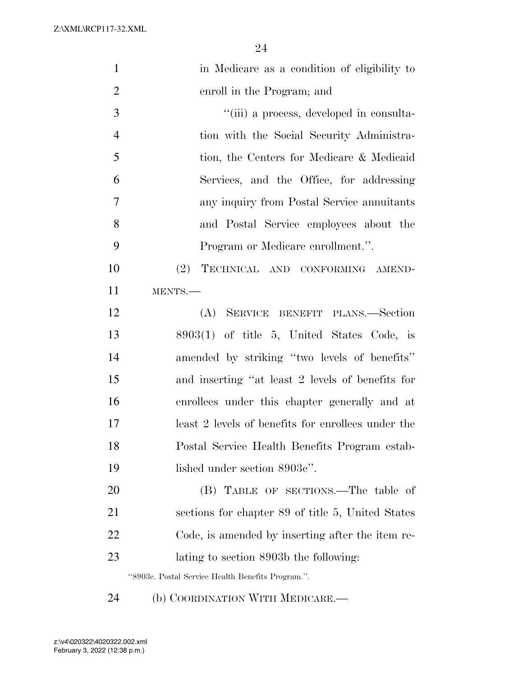| $\mathbf{1}$   | in Medicare as a condition of eligibility to       |
|----------------|----------------------------------------------------|
| $\overline{2}$ | enroll in the Program; and                         |
| 3              | "(iii) a process, developed in consulta-           |
| $\overline{4}$ | tion with the Social Security Administra-          |
| 5              | tion, the Centers for Medicare & Medicaid          |
| 6              | Services, and the Office, for addressing           |
| 7              | any inquiry from Postal Service annuitants         |
| 8              | and Postal Service employees about the             |
| 9              | Program or Medicare enrollment.".                  |
| 10             | TECHNICAL AND CONFORMING AMEND-<br>(2)             |
| 11             | MENTS.-                                            |
| 12             | (A) SERVICE BENEFIT PLANS.—Section                 |
| 13             | $8903(1)$ of title 5, United States Code, is       |
| 14             | amended by striking "two levels of benefits"       |
| 15             | and inserting "at least 2 levels of benefits for   |
| 16             | enrollees under this chapter generally and at      |
| 17             | least 2 levels of benefits for enrollees under the |
| 18             | Postal Service Health Benefits Program estab-      |
| 19             | lished under section 8903c".                       |
| 20             | (B) TABLE OF SECTIONS.—The table of                |
| 21             | sections for chapter 89 of title 5, United States  |
| 22             | Code, is amended by inserting after the item re-   |
| 23             | lating to section 8903b the following:             |
|                | "8903c. Postal Service Health Benefits Program.".  |
|                |                                                    |

(b) COORDINATION WITH MEDICARE.—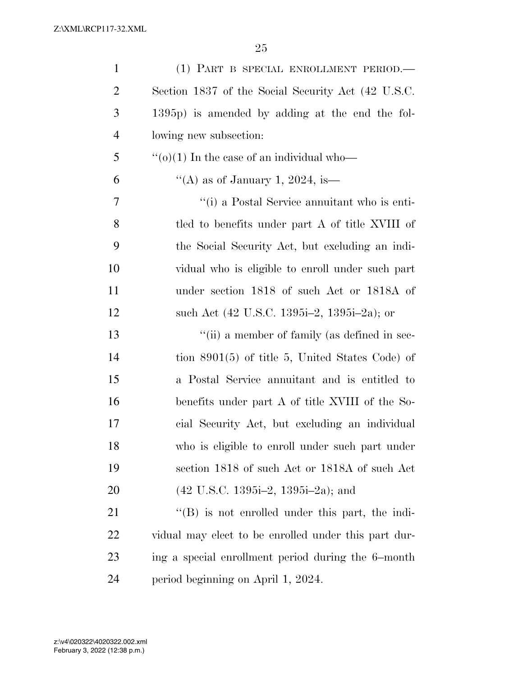| $\mathbf{1}$   | (1) PART B SPECIAL ENROLLMENT PERIOD.                   |
|----------------|---------------------------------------------------------|
| $\overline{2}$ | Section 1837 of the Social Security Act (42 U.S.C.      |
| 3              | 1395p) is amended by adding at the end the fol-         |
| $\overline{4}$ | lowing new subsection:                                  |
| 5              | " $(o)(1)$ In the case of an individual who-            |
| 6              | "(A) as of January 1, 2024, is —                        |
| 7              | "(i) a Postal Service annuitant who is enti-            |
| 8              | tled to benefits under part A of title XVIII of         |
| 9              | the Social Security Act, but excluding an indi-         |
| 10             | vidual who is eligible to enroll under such part        |
| 11             | under section 1818 of such Act or 1818A of              |
| 12             | such Act (42 U.S.C. 1395i–2, 1395i–2a); or              |
| 13             | "(ii) a member of family (as defined in sec-            |
| 14             | tion $8901(5)$ of title 5, United States Code) of       |
| 15             | a Postal Service annuitant and is entitled to           |
| 16             | benefits under part A of title XVIII of the So-         |
| 17             | cial Security Act, but excluding an individual          |
| 18             | who is eligible to enroll under such part under         |
| 19             | section 1818 of such Act or 1818A of such Act           |
| 20             | $(42 \text{ U.S.C. } 1395i-2, 1395i-2a);$ and           |
| 21             | $\lq\lq (B)$ is not enrolled under this part, the indi- |
| 22             | vidual may elect to be enrolled under this part dur-    |
| 23             | ing a special enrollment period during the 6-month      |
| 24             | period beginning on April 1, 2024.                      |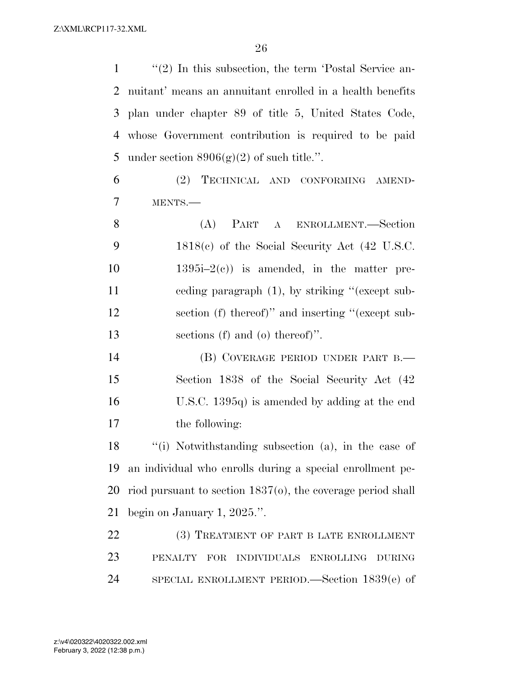1 ''(2) In this subsection, the term 'Postal Service an- nuitant' means an annuitant enrolled in a health benefits plan under chapter 89 of title 5, United States Code, whose Government contribution is required to be paid 5 under section  $8906(g)(2)$  of such title.". (2) TECHNICAL AND CONFORMING AMEND- MENTS.— (A) PART A ENROLLMENT.—Section 1818(c) of the Social Security Act (42 U.S.C.  $1395i-2(c)$  is amended, in the matter pre- ceding paragraph (1), by striking ''(except sub- section (f) thereof)'' and inserting ''(except sub- sections (f) and (o) thereof)''. 14 (B) COVERAGE PERIOD UNDER PART B. Section 1838 of the Social Security Act (42

the following:

 ''(i) Notwithstanding subsection (a), in the case of an individual who enrolls during a special enrollment pe- riod pursuant to section 1837(o), the coverage period shall begin on January 1, 2025.''.

U.S.C. 1395q) is amended by adding at the end

22 (3) TREATMENT OF PART B LATE ENROLLMENT PENALTY FOR INDIVIDUALS ENROLLING DURING SPECIAL ENROLLMENT PERIOD.—Section 1839(e) of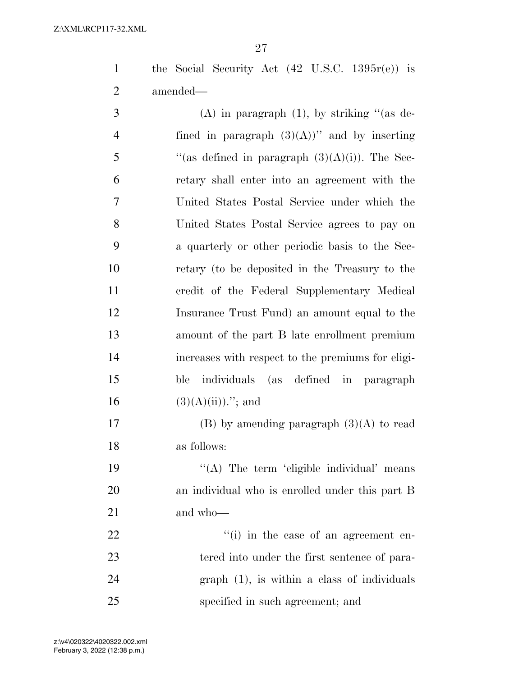the Social Security Act (42 U.S.C. 1395r(e)) is amended—

3 (A) in paragraph  $(1)$ , by striking "(as de-4 fined in paragraph  $(3)(A)$ " and by inserting  $\frac{1}{2}$  (as defined in paragraph  $(3)(A)(i)$ ). The Sec- retary shall enter into an agreement with the United States Postal Service under which the United States Postal Service agrees to pay on a quarterly or other periodic basis to the Sec- retary (to be deposited in the Treasury to the credit of the Federal Supplementary Medical Insurance Trust Fund) an amount equal to the amount of the part B late enrollment premium increases with respect to the premiums for eligi- ble individuals (as defined in paragraph  $(3)(A)(ii))$ ."; and

17 (B) by amending paragraph  $(3)(A)$  to read as follows:

19  $((A)$  The term 'eligible individual' means an individual who is enrolled under this part B and who—

 $\frac{1}{1}$  in the case of an agreement en- tered into under the first sentence of para- graph (1), is within a class of individuals specified in such agreement; and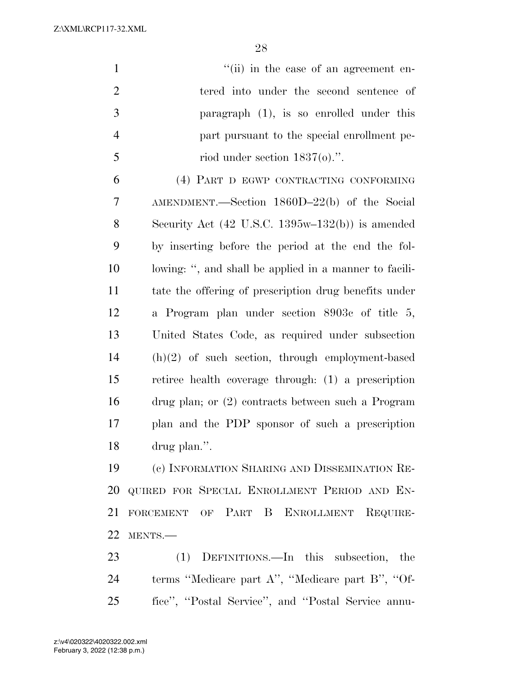1 ''(ii) in the case of an agreement en- tered into under the second sentence of paragraph (1), is so enrolled under this part pursuant to the special enrollment pe- $5 \qquad \qquad \text{riod under section 1837(0).}$  (4) PART D EGWP CONTRACTING CONFORMING AMENDMENT.—Section 1860D–22(b) of the Social Security Act (42 U.S.C. 1395w–132(b)) is amended by inserting before the period at the end the fol- lowing: '', and shall be applied in a manner to facili- tate the offering of prescription drug benefits under a Program plan under section 8903c of title 5, United States Code, as required under subsection

 drug plan; or (2) contracts between such a Program plan and the PDP sponsor of such a prescription drug plan.''. (c) INFORMATION SHARING AND DISSEMINATION RE-

(h)(2) of such section, through employment-based

retiree health coverage through: (1) a prescription

 QUIRED FOR SPECIAL ENROLLMENT PERIOD AND EN- FORCEMENT OF PART B ENROLLMENT REQUIRE-MENTS.—

 (1) DEFINITIONS.—In this subsection, the terms ''Medicare part A'', ''Medicare part B'', ''Of-fice'', ''Postal Service'', and ''Postal Service annu-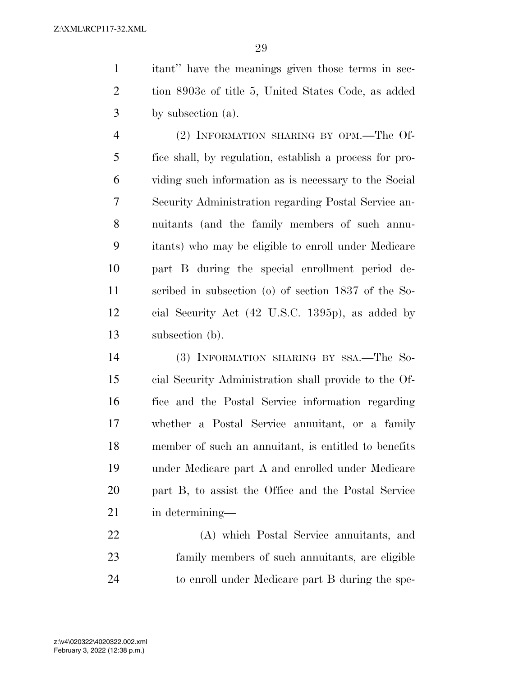itant'' have the meanings given those terms in sec- tion 8903c of title 5, United States Code, as added by subsection (a).

 (2) INFORMATION SHARING BY OPM.—The Of- fice shall, by regulation, establish a process for pro- viding such information as is necessary to the Social Security Administration regarding Postal Service an- nuitants (and the family members of such annu- itants) who may be eligible to enroll under Medicare part B during the special enrollment period de- scribed in subsection (o) of section 1837 of the So- cial Security Act (42 U.S.C. 1395p), as added by subsection (b).

 (3) INFORMATION SHARING BY SSA.—The So- cial Security Administration shall provide to the Of- fice and the Postal Service information regarding whether a Postal Service annuitant, or a family member of such an annuitant, is entitled to benefits under Medicare part A and enrolled under Medicare part B, to assist the Office and the Postal Service in determining—

 (A) which Postal Service annuitants, and family members of such annuitants, are eligible to enroll under Medicare part B during the spe-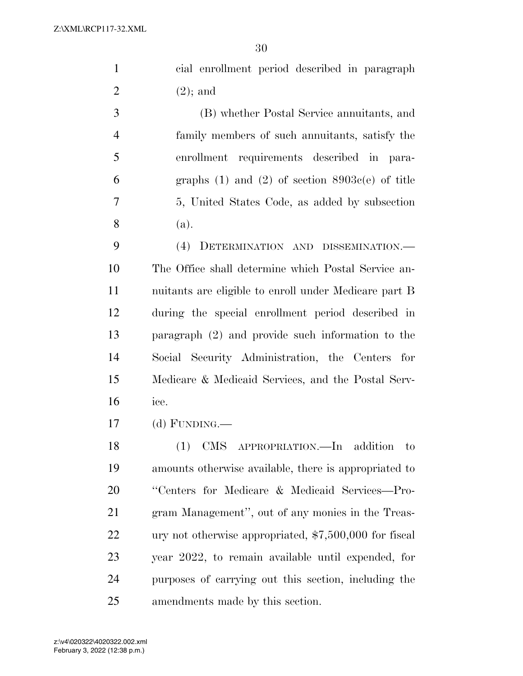|                | 30                                                    |
|----------------|-------------------------------------------------------|
| $\mathbf{1}$   | cial enrollment period described in paragraph         |
| $\overline{2}$ | $(2)$ ; and                                           |
| 3              | (B) whether Postal Service annuitants, and            |
| $\overline{4}$ | family members of such annuitants, satisfy the        |
| 5              | enrollment requirements described in para-            |
| 6              | graphs $(1)$ and $(2)$ of section $8903c(e)$ of title |
| 7              | 5, United States Code, as added by subsection         |
| 8              | (a).                                                  |
| 9              | (4) DETERMINATION AND DISSEMINATION.-                 |
| 10             | The Office shall determine which Postal Service an-   |
| 11             | nuitants are eligible to enroll under Medicare part B |
| 12             | during the special enrollment period described in     |
| 13             | paragraph $(2)$ and provide such information to the   |
| 14             | Social Security Administration, the Centers<br>for    |
| 15             | Medicare & Medicaid Services, and the Postal Serv-    |
| 16             | ice.                                                  |

(d) FUNDING.—

 (1) CMS APPROPRIATION.—In addition to amounts otherwise available, there is appropriated to ''Centers for Medicare & Medicaid Services—Pro- gram Management'', out of any monies in the Treas- ury not otherwise appropriated, \$7,500,000 for fiscal year 2022, to remain available until expended, for purposes of carrying out this section, including the amendments made by this section.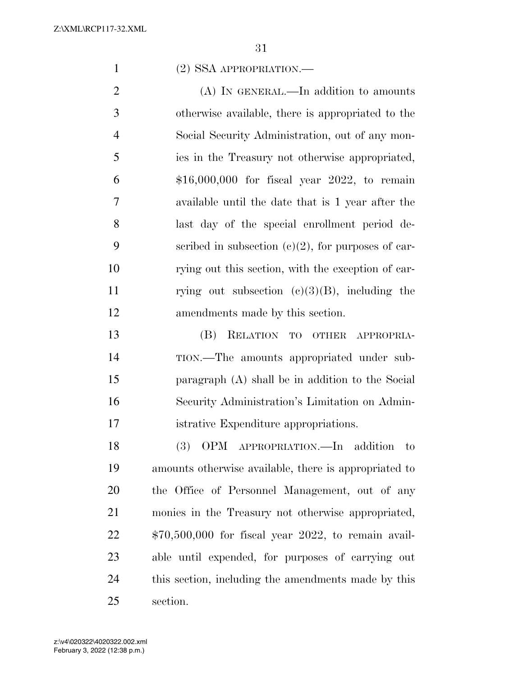## (2) SSA APPROPRIATION.—

2 (A) IN GENERAL.—In addition to amounts otherwise available, there is appropriated to the Social Security Administration, out of any mon- ies in the Treasury not otherwise appropriated, \$16,000,000 for fiscal year 2022, to remain available until the date that is 1 year after the last day of the special enrollment period de-9 scribed in subsection  $(c)(2)$ , for purposes of car- rying out this section, with the exception of car-11 rying out subsection  $(c)(3)(B)$ , including the amendments made by this section.

 (B) RELATION TO OTHER APPROPRIA- TION.—The amounts appropriated under sub- paragraph (A) shall be in addition to the Social Security Administration's Limitation on Admin-istrative Expenditure appropriations.

 (3) OPM APPROPRIATION.—In addition to amounts otherwise available, there is appropriated to the Office of Personnel Management, out of any monies in the Treasury not otherwise appropriated, \$70,500,000 for fiscal year 2022, to remain avail- able until expended, for purposes of carrying out this section, including the amendments made by this section.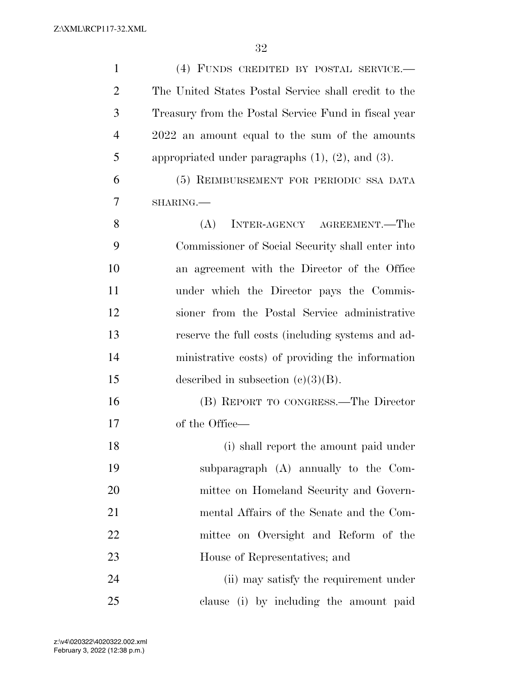| $\mathbf{1}$   | (4) FUNDS CREDITED BY POSTAL SERVICE.-                    |
|----------------|-----------------------------------------------------------|
| $\overline{2}$ | The United States Postal Service shall credit to the      |
| 3              | Treasury from the Postal Service Fund in fiscal year      |
| $\overline{4}$ | 2022 an amount equal to the sum of the amounts            |
| 5              | appropriated under paragraphs $(1)$ , $(2)$ , and $(3)$ . |
| 6              | (5) REIMBURSEMENT FOR PERIODIC SSA DATA                   |
| 7              | SHARING.                                                  |
| 8              | (A)<br>INTER-AGENCY AGREEMENT.—The                        |
| 9              | Commissioner of Social Security shall enter into          |
| 10             | an agreement with the Director of the Office              |
| 11             | under which the Director pays the Commis-                 |
| 12             | sioner from the Postal Service administrative             |
| 13             | reserve the full costs (including systems and ad-         |
| 14             | ministrative costs) of providing the information          |
| 15             | described in subsection $(c)(3)(B)$ .                     |
| 16             | (B) REPORT TO CONGRESS.—The Director                      |
| 17             | of the Office—                                            |
| 18             | (i) shall report the amount paid under                    |
| 19             | subparagraph (A) annually to the Com-                     |
| 20             | mittee on Homeland Security and Govern-                   |
| 21             | mental Affairs of the Senate and the Com-                 |
| 22             | mittee on Oversight and Reform of the                     |
| 23             | House of Representatives; and                             |
| 24             | (ii) may satisfy the requirement under                    |
| 25             | clause (i) by including the amount paid                   |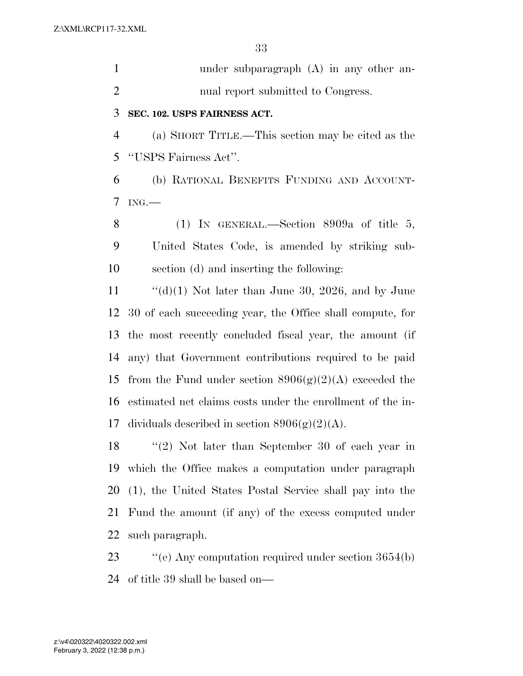| $\mathbf{1}$   | under subparagraph $(A)$ in any other an-                  |
|----------------|------------------------------------------------------------|
| $\overline{2}$ | nual report submitted to Congress.                         |
| 3              | SEC. 102. USPS FAIRNESS ACT.                               |
| $\overline{4}$ | (a) SHORT TITLE.—This section may be cited as the          |
| 5              | "USPS Fairness Act".                                       |
| 6              | (b) RATIONAL BENEFITS FUNDING AND ACCOUNT-                 |
| 7              | ING.                                                       |
| 8              | (1) IN GENERAL.—Section 8909a of title 5,                  |
| 9              | United States Code, is amended by striking sub-            |
| 10             | section (d) and inserting the following:                   |
| 11             | "(d)(1) Not later than June 30, 2026, and by June          |
| 12             | 30 of each succeeding year, the Office shall compute, for  |
| 13             | the most recently concluded fiscal year, the amount (if    |
| 14             | any) that Government contributions required to be paid     |
| 15             | from the Fund under section $8906(g)(2)(A)$ exceeded the   |
| 16             | estimated net claims costs under the enrollment of the in- |
| 17             | dividuals described in section $8906(g)(2)(A)$ .           |
| 18             | $(2)$ Not later than September 30 of each year in          |
| 19             | which the Office makes a computation under paragraph       |
| 20             | (1), the United States Postal Service shall pay into the   |
| 21             | Fund the amount (if any) of the excess computed under      |
|                |                                                            |

such paragraph.

23 ''(e) Any computation required under section 3654(b) of title 39 shall be based on—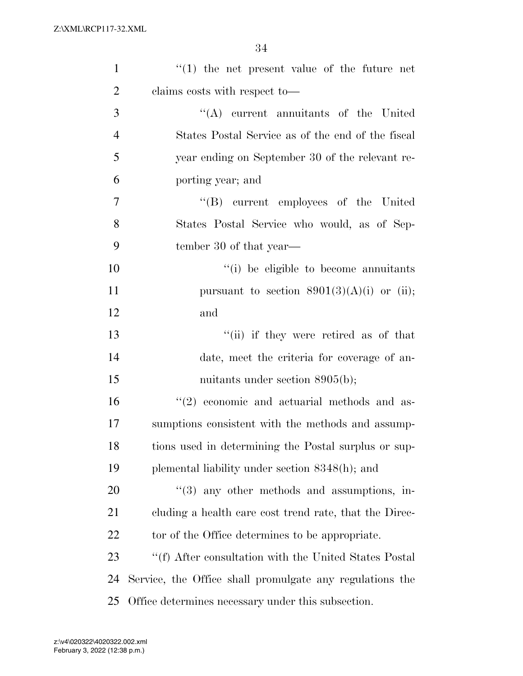| $\mathbf{1}$   | $f(1)$ the net present value of the future net           |
|----------------|----------------------------------------------------------|
| $\overline{2}$ | claims costs with respect to—                            |
| 3              | $\lq\lq$ current annuitants of the United                |
| $\overline{4}$ | States Postal Service as of the end of the fiscal        |
| 5              | year ending on September 30 of the relevant re-          |
| 6              | porting year; and                                        |
| 7              | "(B) current employees of the United                     |
| 8              | States Postal Service who would, as of Sep-              |
| 9              | tember 30 of that year—                                  |
| 10             | "(i) be eligible to become annuitants                    |
| 11             | pursuant to section $8901(3)(A)(i)$ or (ii);             |
| 12             | and                                                      |
| 13             | "(ii) if they were retired as of that                    |
| 14             | date, meet the criteria for coverage of an-              |
| 15             | muitants under section $8905(b)$ ;                       |
| 16             | $(2)$ economic and actuarial methods and as-             |
| 17             | sumptions consistent with the methods and assump-        |
| 18             | tions used in determining the Postal surplus or sup-     |
| 19             | plemental liability under section 8348(h); and           |
| 20             | "(3) any other methods and assumptions, in-              |
| 21             | cluding a health care cost trend rate, that the Direc-   |
| 22             | tor of the Office determines to be appropriate.          |
| 23             | "(f) After consultation with the United States Postal    |
| 24             | Service, the Office shall promulgate any regulations the |
| 25             | Office determines necessary under this subsection.       |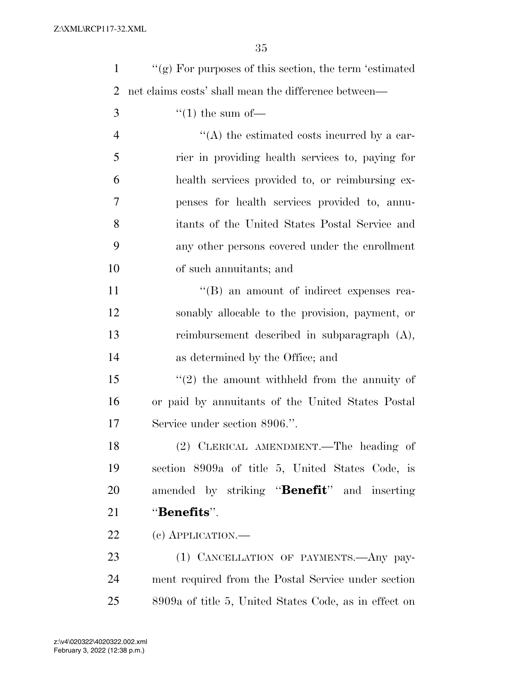| $\mathbf{1}$   | $\lq\lq$ For purposes of this section, the term 'estimated' |
|----------------|-------------------------------------------------------------|
| 2              | net claims costs' shall mean the difference between—        |
| 3              | $\lq(1)$ the sum of —                                       |
| $\overline{4}$ | $\lq\lq$ the estimated costs incurred by a car-             |
| 5              | rier in providing health services to, paying for            |
| 6              | health services provided to, or reimbursing ex-             |
| 7              | penses for health services provided to, annu-               |
| 8              | itants of the United States Postal Service and              |
| 9              | any other persons covered under the enrollment              |
| 10             | of such annuitants; and                                     |
| 11             | $\lq\lq (B)$ an amount of indirect expenses rea-            |
| 12             | sonably allocable to the provision, payment, or             |
| 13             | reimbursement described in subparagraph $(A)$ ,             |
| 14             | as determined by the Office; and                            |
| 15             | $f'(2)$ the amount withheld from the annuity of             |
| 16             | or paid by annuitants of the United States Postal           |
| 17             | Service under section 8906.".                               |
| 18             | (2) CLERICAL AMENDMENT.—The heading of                      |
| 19             | section 8909a of title 5, United States Code, is            |
| 20             | amended by striking " <b>Benefit</b> " and inserting        |
| 21             | "Benefits".                                                 |
| 22             | (c) APPLICATION.—                                           |
| 23             | (1) CANCELLATION OF PAYMENTS. Any pay-                      |
| 24             | ment required from the Postal Service under section         |
| 25             | 8909a of title 5, United States Code, as in effect on       |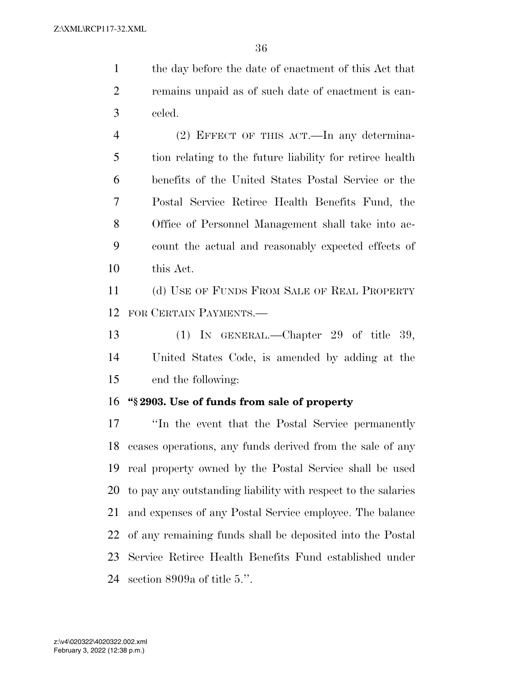the day before the date of enactment of this Act that remains unpaid as of such date of enactment is can-celed.

 (2) EFFECT OF THIS ACT.—In any determina- tion relating to the future liability for retiree health benefits of the United States Postal Service or the Postal Service Retiree Health Benefits Fund, the Office of Personnel Management shall take into ac- count the actual and reasonably expected effects of this Act.

11 (d) USE OF FUNDS FROM SALE OF REAL PROPERTY FOR CERTAIN PAYMENTS.—

 (1) IN GENERAL.—Chapter 29 of title 39, United States Code, is amended by adding at the end the following:

## **''§ 2903. Use of funds from sale of property**

 ''In the event that the Postal Service permanently ceases operations, any funds derived from the sale of any real property owned by the Postal Service shall be used to pay any outstanding liability with respect to the salaries and expenses of any Postal Service employee. The balance of any remaining funds shall be deposited into the Postal Service Retiree Health Benefits Fund established under section 8909a of title 5.''.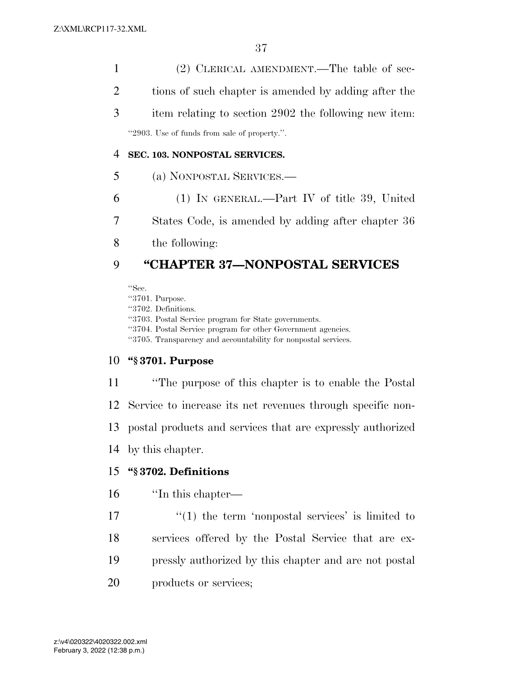(2) CLERICAL AMENDMENT.—The table of sec- tions of such chapter is amended by adding after the item relating to section 2902 the following new item: ''2903. Use of funds from sale of property.''.

## **SEC. 103. NONPOSTAL SERVICES.**

- (a) NONPOSTAL SERVICES.—
- (1) IN GENERAL.—Part IV of title 39, United States Code, is amended by adding after chapter 36
- the following:

# **''CHAPTER 37—NONPOSTAL SERVICES**

''Sec.

''3701. Purpose. ''3702. Definitions. ''3703. Postal Service program for State governments. ''3704. Postal Service program for other Government agencies. ''3705. Transparency and accountability for nonpostal services.

## **''§ 3701. Purpose**

 ''The purpose of this chapter is to enable the Postal Service to increase its net revenues through specific non- postal products and services that are expressly authorized by this chapter. **''§ 3702. Definitions** 

# ''In this chapter—

- $\mathbf{17}$   $\mathbf{17}$   $\mathbf{10}$  the term 'nonpostal services' is limited to
- services offered by the Postal Service that are ex-
- pressly authorized by this chapter and are not postal
- products or services;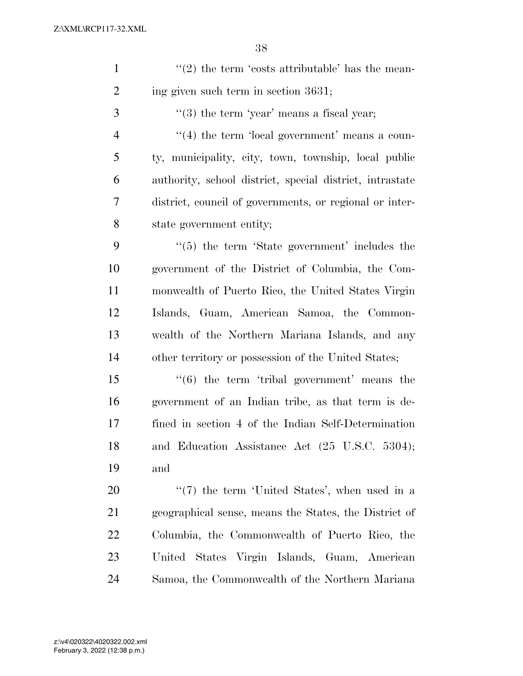| $\mathbf{1}$   | $\lq(2)$ the term 'costs attributable' has the mean-     |
|----------------|----------------------------------------------------------|
| $\overline{2}$ | ing given such term in section 3631;                     |
| 3              | $"$ (3) the term 'year' means a fiscal year;             |
| $\overline{4}$ | $\lq(4)$ the term 'local government' means a coun-       |
| 5              | ty, municipality, city, town, township, local public     |
| 6              | authority, school district, special district, intrastate |
| 7              | district, council of governments, or regional or inter-  |
| 8              | state government entity;                                 |
| 9              | $\lq(5)$ the term 'State government' includes the        |
| 10             | government of the District of Columbia, the Com-         |
| 11             | monwealth of Puerto Rico, the United States Virgin       |
| 12             | Islands, Guam, American Samoa, the Common-               |
| 13             | wealth of the Northern Mariana Islands, and any          |
| 14             | other territory or possession of the United States;      |
| 15             | $\cdot\cdot$ (6) the term 'tribal government' means the  |
| 16             | government of an Indian tribe, as that term is de-       |
| 17             | fined in section 4 of the Indian Self-Determination      |
| 18             | and Education Assistance Act (25 U.S.C. 5304);           |
| 19             | and                                                      |
| 20             | $\lq(7)$ the term 'United States', when used in a        |
| 21             | geographical sense, means the States, the District of    |
| <u>22</u>      | Columbia, the Commonwealth of Puerto Rico, the           |
| 23             | United States Virgin Islands, Guam, American             |

Samoa, the Commonwealth of the Northern Mariana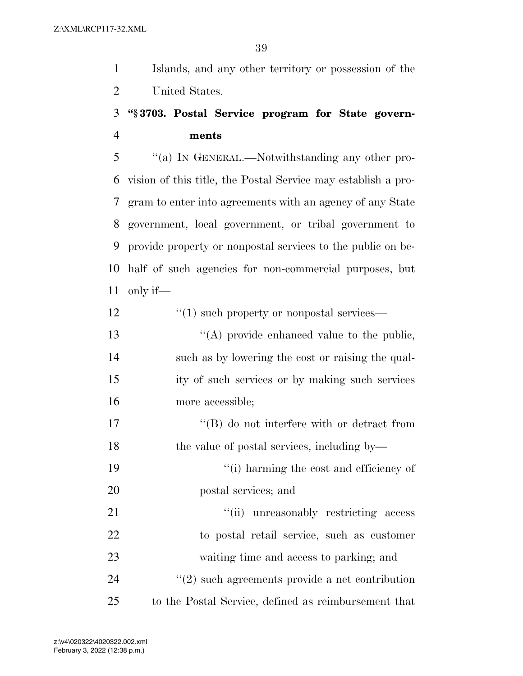Islands, and any other territory or possession of the United States.

# **''§ 3703. Postal Service program for State govern-ments**

 ''(a) IN GENERAL.—Notwithstanding any other pro- vision of this title, the Postal Service may establish a pro- gram to enter into agreements with an agency of any State government, local government, or tribal government to provide property or nonpostal services to the public on be- half of such agencies for non-commercial purposes, but only if—

| 12 | $\cdot\cdot\cdot(1)$ such property or nonpostal services— |
|----|-----------------------------------------------------------|
| 13 | $\lq\lq$ (A) provide enhanced value to the public,        |
| 14 | such as by lowering the cost or raising the qual-         |
| 15 | ity of such services or by making such services           |
| 16 | more accessible;                                          |
| 17 | $\lq\lq (B)$ do not interfere with or detract from        |
| 18 | the value of postal services, including by—               |
| 19 | "(i) harming the cost and efficiency of                   |
| 20 | postal services; and                                      |
| 21 | "(ii) unreasonably restricting access                     |
| 22 | to postal retail service, such as customer                |
| 23 | waiting time and access to parking; and                   |
| 24 | $\lq(2)$ such agreements provide a net contribution       |
| 25 | to the Postal Service, defined as reimbursement that      |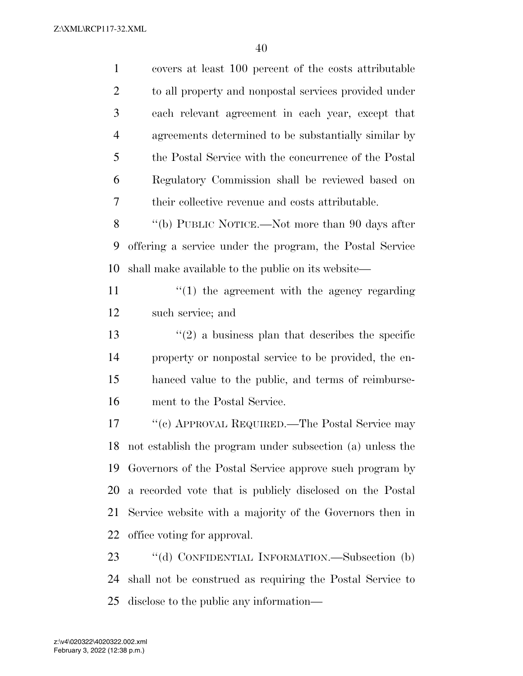| $\mathbf{1}$   | covers at least 100 percent of the costs attributable       |
|----------------|-------------------------------------------------------------|
| $\overline{2}$ | to all property and nonpostal services provided under       |
| 3              | each relevant agreement in each year, except that           |
| $\overline{4}$ | agreements determined to be substantially similar by        |
| 5              | the Postal Service with the concurrence of the Postal       |
| 6              | Regulatory Commission shall be reviewed based on            |
| 7              | their collective revenue and costs attributable.            |
| 8              | "(b) PUBLIC NOTICE.—Not more than 90 days after             |
| 9              | offering a service under the program, the Postal Service    |
| 10             | shall make available to the public on its website—          |
| 11             | $\lq(1)$ the agreement with the agency regarding            |
| 12             | such service; and                                           |
| 13             | $\cdot\cdot(2)$ a business plan that describes the specific |
| 14             | property or nonpostal service to be provided, the en-       |
| 15             | hanced value to the public, and terms of reimburse-         |
| 16             | ment to the Postal Service.                                 |
| 17             | "(c) APPROVAL REQUIRED.—The Postal Service may              |
| 18             | not establish the program under subsection (a) unless the   |
| 19             | Governors of the Postal Service approve such program by     |
| 20             | a recorded vote that is publicly disclosed on the Postal    |
| 21             | Service website with a majority of the Governors then in    |
| 22             | office voting for approval.                                 |
| 23             | "(d) CONFIDENTIAL INFORMATION.—Subsection (b)               |
| 24             | shall not be construed as requiring the Postal Service to   |
| 25             | disclose to the public any information—                     |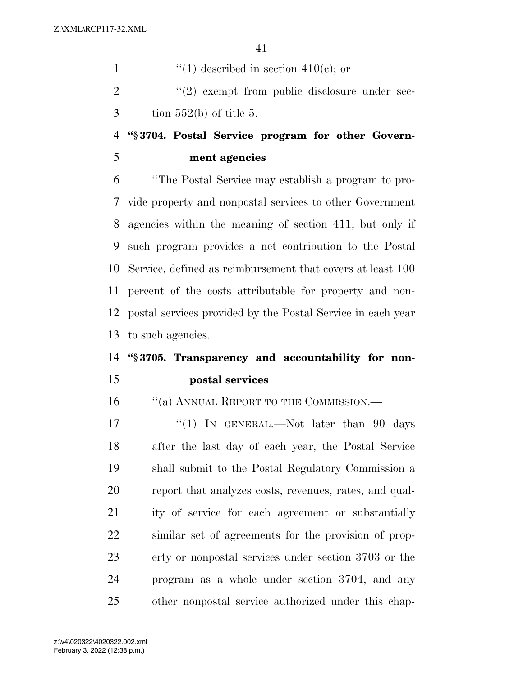1  $\frac{4}{10}$  described in section 410(c); or ''(2) exempt from public disclosure under sec- $3 \t{tion} 552(b)$  of title 5.

# **''§ 3704. Postal Service program for other Govern-ment agencies**

 ''The Postal Service may establish a program to pro- vide property and nonpostal services to other Government agencies within the meaning of section 411, but only if such program provides a net contribution to the Postal Service, defined as reimbursement that covers at least 100 percent of the costs attributable for property and non- postal services provided by the Postal Service in each year to such agencies.

# **''§ 3705. Transparency and accountability for non-postal services**

16 "(a) ANNUAL REPORT TO THE COMMISSION.—

17 "(1) In GENERAL.—Not later than 90 days after the last day of each year, the Postal Service shall submit to the Postal Regulatory Commission a report that analyzes costs, revenues, rates, and qual- ity of service for each agreement or substantially similar set of agreements for the provision of prop- erty or nonpostal services under section 3703 or the program as a whole under section 3704, and any other nonpostal service authorized under this chap-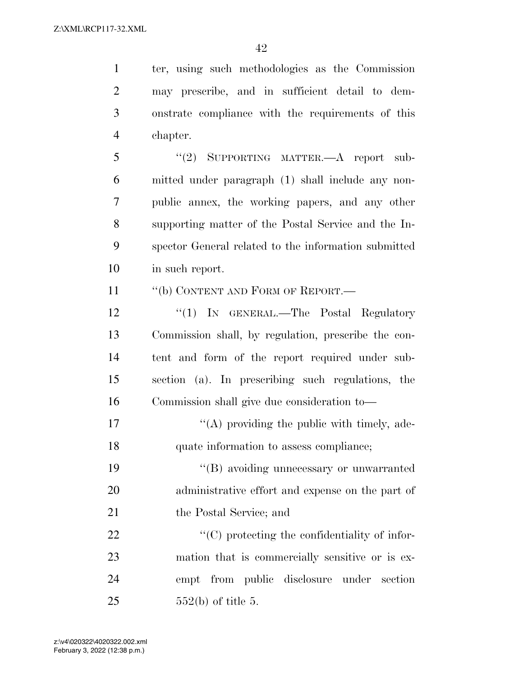ter, using such methodologies as the Commission may prescribe, and in sufficient detail to dem- onstrate compliance with the requirements of this chapter. ''(2) SUPPORTING MATTER.—A report sub- mitted under paragraph (1) shall include any non- public annex, the working papers, and any other supporting matter of the Postal Service and the In- spector General related to the information submitted in such report. 11 "(b) CONTENT AND FORM OF REPORT.— 12 "(1) IN GENERAL.—The Postal Regulatory Commission shall, by regulation, prescribe the con- tent and form of the report required under sub- section (a). In prescribing such regulations, the Commission shall give due consideration to—  $\mathcal{L}(\mathbf{A})$  providing the public with timely, ade-

quate information to assess compliance;

19 ''(B) avoiding unnecessary or unwarranted administrative effort and expense on the part of 21 the Postal Service; and

 $\bullet$  (C) protecting the confidentiality of infor- mation that is commercially sensitive or is ex- empt from public disclosure under section 552(b) of title 5.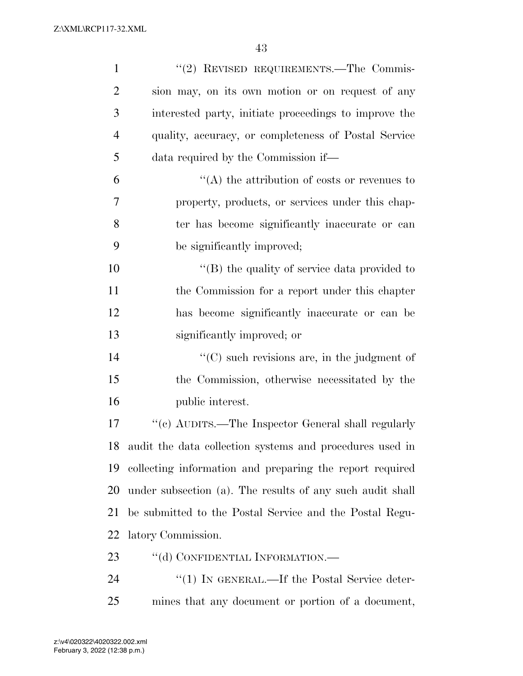| $\mathbf{1}$   | "(2) REVISED REQUIREMENTS.—The Commis-                    |
|----------------|-----------------------------------------------------------|
| $\overline{2}$ | sion may, on its own motion or on request of any          |
| 3              | interested party, initiate proceedings to improve the     |
| $\overline{4}$ | quality, accuracy, or completeness of Postal Service      |
| 5              | data required by the Commission if—                       |
| 6              | $\lq\lq$ the attribution of costs or revenues to          |
| 7              | property, products, or services under this chap-          |
| 8              | ter has become significantly inaccurate or can            |
| 9              | be significantly improved;                                |
| 10             | $\lq\lq$ (B) the quality of service data provided to      |
| 11             | the Commission for a report under this chapter            |
| 12             | has become significantly inaccurate or can be             |
| 13             | significantly improved; or                                |
| 14             | "(C) such revisions are, in the judgment of               |
| 15             | the Commission, otherwise necessitated by the             |
| 16             | public interest.                                          |
| 17             | "(c) AUDITS.—The Inspector General shall regularly        |
| 18             | audit the data collection systems and procedures used in  |
| 19             | collecting information and preparing the report required  |
| 20             | under subsection (a). The results of any such audit shall |
| 21             | be submitted to the Postal Service and the Postal Regu-   |
| 22             | latory Commission.                                        |
| 23             | "(d) CONFIDENTIAL INFORMATION.—                           |
| 24             | "(1) IN GENERAL.—If the Postal Service deter-             |
| 25             | mines that any document or portion of a document,         |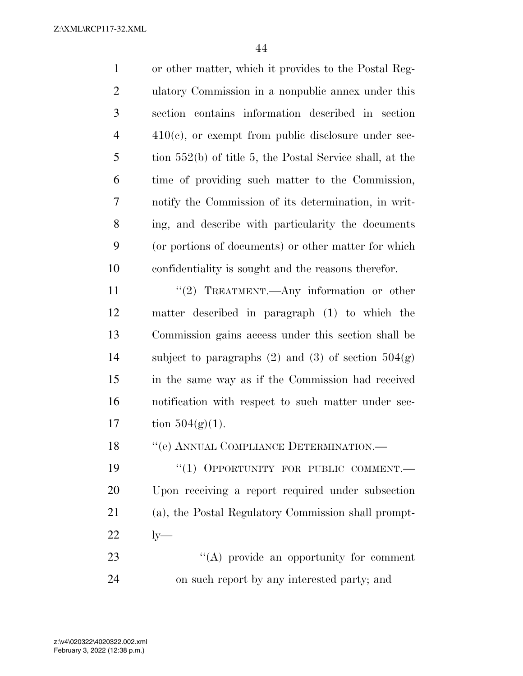| $\mathbf{1}$   | or other matter, which it provides to the Postal Reg-      |
|----------------|------------------------------------------------------------|
| $\overline{2}$ | ulatory Commission in a nonpublic annex under this         |
| 3              | section contains information described in section          |
| $\overline{4}$ | $410(c)$ , or exempt from public disclosure under sec-     |
| 5              | tion $552(b)$ of title 5, the Postal Service shall, at the |
| 6              | time of providing such matter to the Commission,           |
| 7              | notify the Commission of its determination, in writ-       |
| 8              | ing, and describe with particularity the documents         |
| 9              | (or portions of documents) or other matter for which       |
| 10             | confidentiality is sought and the reasons therefor.        |
| 11             | "(2) TREATMENT.—Any information or other                   |
| 12             | matter described in paragraph (1) to which the             |
| 13             | Commission gains access under this section shall be        |
| 14             | subject to paragraphs $(2)$ and $(3)$ of section $504(g)$  |
| 15             | in the same way as if the Commission had received          |
| 16             | notification with respect to such matter under sec-        |
| 17             | tion $504(g)(1)$ .                                         |
| 18             | "(e) ANNUAL COMPLIANCE DETERMINATION.—                     |
| 19             | "(1) OPPORTUNITY FOR PUBLIC COMMENT.-                      |
| 20             | Upon receiving a report required under subsection          |
| 21             | (a), the Postal Regulatory Commission shall prompt-        |
| 22             | $ly-$                                                      |
| າາ             | $\mathcal{U}(\Lambda)$ provide an                          |

23  $\bullet$  ''(A) provide an opportunity for comment on such report by any interested party; and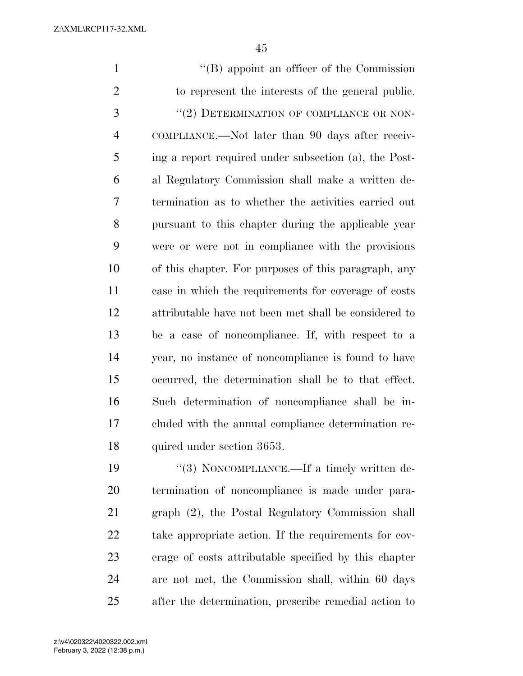''(B) appoint an officer of the Commission to represent the interests of the general public. 3 "(2) DETERMINATION OF COMPLIANCE OR NON- COMPLIANCE.—Not later than 90 days after receiv- ing a report required under subsection (a), the Post- al Regulatory Commission shall make a written de- termination as to whether the activities carried out pursuant to this chapter during the applicable year were or were not in compliance with the provisions of this chapter. For purposes of this paragraph, any case in which the requirements for coverage of costs attributable have not been met shall be considered to be a case of noncompliance. If, with respect to a year, no instance of noncompliance is found to have occurred, the determination shall be to that effect. Such determination of noncompliance shall be in- cluded with the annual compliance determination re- quired under section 3653.  $\frac{u(3)}{2}$  NONCOMPLIANCE.—If a timely written de- termination of noncompliance is made under para-graph (2), the Postal Regulatory Commission shall

 take appropriate action. If the requirements for cov- erage of costs attributable specified by this chapter are not met, the Commission shall, within 60 days after the determination, prescribe remedial action to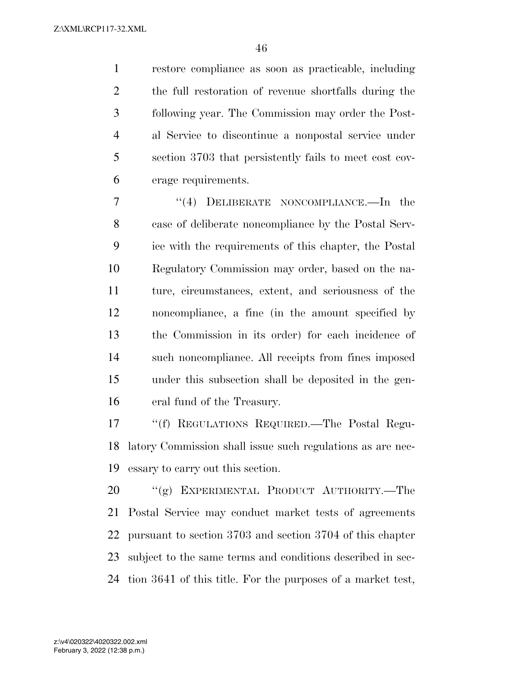restore compliance as soon as practicable, including the full restoration of revenue shortfalls during the following year. The Commission may order the Post- al Service to discontinue a nonpostal service under section 3703 that persistently fails to meet cost cov-erage requirements.

7 "(4) DELIBERATE NONCOMPLIANCE.—In the case of deliberate noncompliance by the Postal Serv- ice with the requirements of this chapter, the Postal Regulatory Commission may order, based on the na- ture, circumstances, extent, and seriousness of the noncompliance, a fine (in the amount specified by the Commission in its order) for each incidence of such noncompliance. All receipts from fines imposed under this subsection shall be deposited in the gen-eral fund of the Treasury.

 ''(f) REGULATIONS REQUIRED.—The Postal Regu- latory Commission shall issue such regulations as are nec-essary to carry out this section.

 ''(g) EXPERIMENTAL PRODUCT AUTHORITY.—The Postal Service may conduct market tests of agreements pursuant to section 3703 and section 3704 of this chapter subject to the same terms and conditions described in sec-tion 3641 of this title. For the purposes of a market test,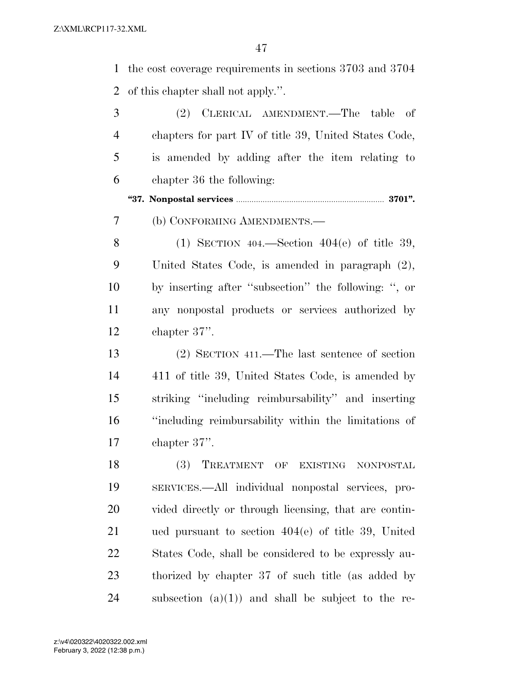the cost coverage requirements in sections 3703 and 3704 of this chapter shall not apply.''.

| 3              | (2) CLERICAL AMENDMENT.—The table of                  |
|----------------|-------------------------------------------------------|
| $\overline{4}$ | chapters for part IV of title 39, United States Code, |
| 5              | is amended by adding after the item relating to       |
| 6              | chapter 36 the following:                             |
|                |                                                       |
| 7              | (b) CONFORMING AMENDMENTS.—                           |
| 8              | (1) SECTION $404$ —Section $404(e)$ of title 39,      |
| 9              | United States Code, is amended in paragraph $(2)$ ,   |
| 10             | by inserting after "subsection" the following: ", or  |
| 11             | any nonpostal products or services authorized by      |
| 12             | chapter $37$ ".                                       |
| 13             | $(2)$ SECTION 411.—The last sentence of section       |
| 14             | 411 of title 39, United States Code, is amended by    |
| 15             | striking "including reimbursability" and inserting    |
| 16             | "including reimbursability within the limitations of  |
| 17             | chapter $37$ ".                                       |
| 18             | (3) TREATMENT<br>OF<br>EXISTING NONPOSTAL             |
| 19             | SERVICES.—All individual nonpostal services, pro-     |
| 20             | vided directly or through licensing, that are contin- |
| 21             | ued pursuant to section $404(e)$ of title 39, United  |
| 22             | States Code, shall be considered to be expressly au-  |
| 23             | thorized by chapter 37 of such title (as added by     |
|                |                                                       |

24 subsection  $(a)(1)$  and shall be subject to the re-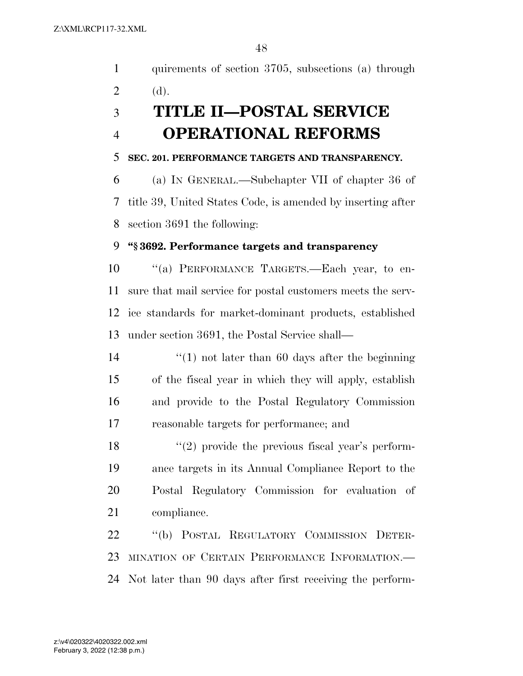quirements of section 3705, subsections (a) through

| $\overline{2}$ | (d).                                                        |
|----------------|-------------------------------------------------------------|
| 3              | <b>TITLE II-POSTAL SERVICE</b>                              |
| $\overline{4}$ | <b>OPERATIONAL REFORMS</b>                                  |
| 5              | SEC. 201. PERFORMANCE TARGETS AND TRANSPARENCY.             |
| 6              | (a) IN GENERAL.—Subchapter VII of chapter 36 of             |
| 7              | title 39, United States Code, is amended by inserting after |
| 8              | section 3691 the following:                                 |
| 9              | "§3692. Performance targets and transparency                |
| 10             | "(a) PERFORMANCE TARGETS. Each year, to en-                 |
| 11             | sure that mail service for postal customers meets the serv- |
| 12             | ice standards for market-dominant products, established     |
| 13             | under section 3691, the Postal Service shall—               |
| 14             | $\lq(1)$ not later than 60 days after the beginning         |
| 15             | of the fiscal year in which they will apply, establish      |
| 16             | and provide to the Postal Regulatory Commission             |
| 17             | reasonable targets for performance; and                     |
| 18             | $\lq(2)$ provide the previous fiscal year's perform-        |
| 19             | ance targets in its Annual Compliance Report to the         |
| 20             | Postal Regulatory Commission for evaluation of              |
| 21             | compliance.                                                 |
| 22             | "(b) POSTAL REGULATORY COMMISSION DETER-                    |
| 23             | MINATION OF CERTAIN PERFORMANCE INFORMATION.                |
| 24             | Not later than 90 days after first receiving the perform-   |
|                |                                                             |
|                |                                                             |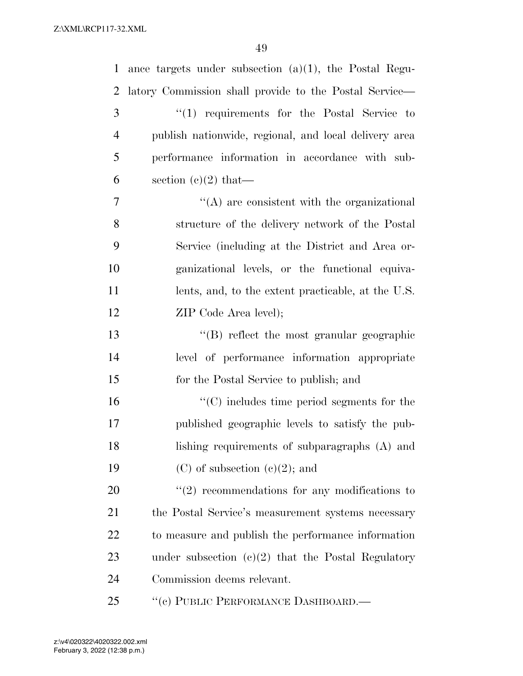| $\mathbf{1}$   | ance targets under subsection $(a)(1)$ , the Postal Regu- |
|----------------|-----------------------------------------------------------|
| 2              | latory Commission shall provide to the Postal Service—    |
| 3              | "(1) requirements for the Postal Service to               |
| $\overline{4}$ | publish nationwide, regional, and local delivery area     |
| 5              | performance information in accordance with sub-           |
| 6              | section $(c)(2)$ that—                                    |
| 7              | $\lq\lq$ are consistent with the organizational           |
| 8              | structure of the delivery network of the Postal           |
| 9              | Service (including at the District and Area or-           |
| 10             | ganizational levels, or the functional equiva-            |
| 11             | lents, and, to the extent practicable, at the U.S.        |
| 12             | ZIP Code Area level);                                     |
| 13             | $\lq\lq$ reflect the most granular geographic             |
| 14             | level of performance information appropriate              |
| 15             | for the Postal Service to publish; and                    |
| 16             | $\lq\lq$ (C) includes time period segments for the        |
| 17             | published geographic levels to satisfy the pub-           |
| 18             | lishing requirements of subparagraphs $(A)$ and           |
| 19             | $(C)$ of subsection $(e)(2)$ ; and                        |
| 20             | $\lq(2)$ recommendations for any modifications to         |
| 21             | the Postal Service's measurement systems necessary        |
| 22             | to measure and publish the performance information        |
| 23             | under subsection $(c)(2)$ that the Postal Regulatory      |
| 24             | Commission deems relevant.                                |
| 25             | "(c) PUBLIC PERFORMANCE DASHBOARD.—                       |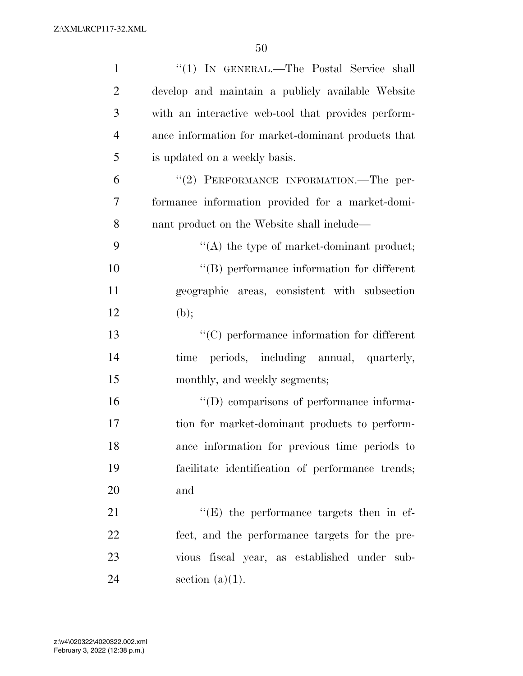| $\mathbf{1}$   | "(1) IN GENERAL.—The Postal Service shall           |
|----------------|-----------------------------------------------------|
| $\overline{2}$ | develop and maintain a publicly available Website   |
| 3              | with an interactive web-tool that provides perform- |
| $\overline{4}$ | ance information for market-dominant products that  |
| 5              | is updated on a weekly basis.                       |
| 6              | "(2) PERFORMANCE INFORMATION.—The per-              |
| $\tau$         | formance information provided for a market-domi-    |
| 8              | nant product on the Website shall include—          |
| 9              | $\lq\lq$ the type of market-dominant product;       |
| 10             | $\lq\lq$ performance information for different      |
| 11             | geographic areas, consistent with subsection        |
| 12             | (b);                                                |
| 13             | $\lq\lq$ (C) performance information for different  |
| 14             | periods, including annual, quarterly,<br>time       |
| 15             | monthly, and weekly segments;                       |
| 16             | "(D) comparisons of performance informa-            |
| 17             | tion for market-dominant products to perform-       |
| 18             | ance information for previous time periods to       |
| 19             | facilitate identification of performance trends;    |
| 20             | and                                                 |
| 21             | $\lq\lq(E)$ the performance targets then in ef-     |
| 22             | fect, and the performance targets for the pre-      |
| 23             | vious fiscal year, as established under sub-        |
| 24             | section $(a)(1)$ .                                  |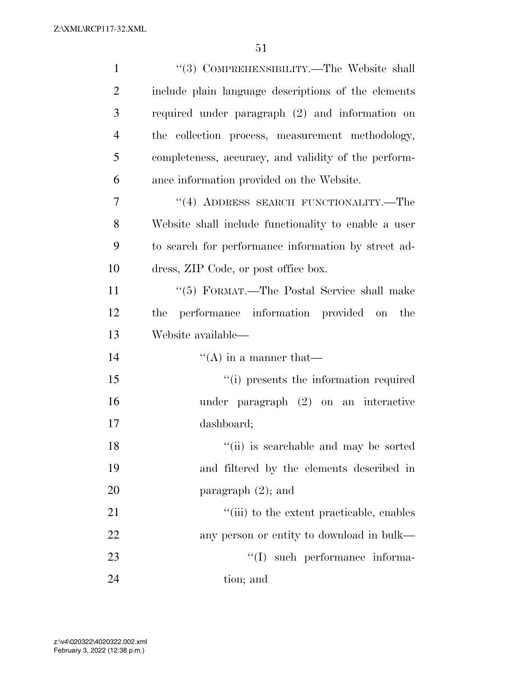| $\mathbf{1}$   | "(3) COMPREHENSIBILITY.—The Website shall            |
|----------------|------------------------------------------------------|
| $\overline{2}$ | include plain language descriptions of the elements  |
| 3              | required under paragraph (2) and information on      |
| $\overline{4}$ | the collection process, measurement methodology,     |
| 5              | completeness, accuracy, and validity of the perform- |
| 6              | ance information provided on the Website.            |
| $\overline{7}$ | $``(4)$ ADDRESS SEARCH FUNCTIONALITY.—The            |
| 8              | Website shall include functionality to enable a user |
| 9              | to search for performance information by street ad-  |
| 10             | dress, ZIP Code, or post office box.                 |
| 11             | "(5) FORMAT.—The Postal Service shall make           |
| 12             | performance information provided on the<br>the       |
| 13             | Website available—                                   |
| 14             | $\lq\lq$ (A) in a manner that—                       |
| 15             | "(i) presents the information required               |
| 16             | under paragraph $(2)$ on an interactive              |
| 17             | dashboard;                                           |
| 18             | "(ii) is searchable and may be sorted                |
| 19             | and filtered by the elements described in            |
| 20             | paragraph $(2)$ ; and                                |
| 21             | "(iii) to the extent practicable, enables            |
| 22             | any person or entity to download in bulk—            |
| 23             | "(I) such performance informa-                       |
| 24             | tion; and                                            |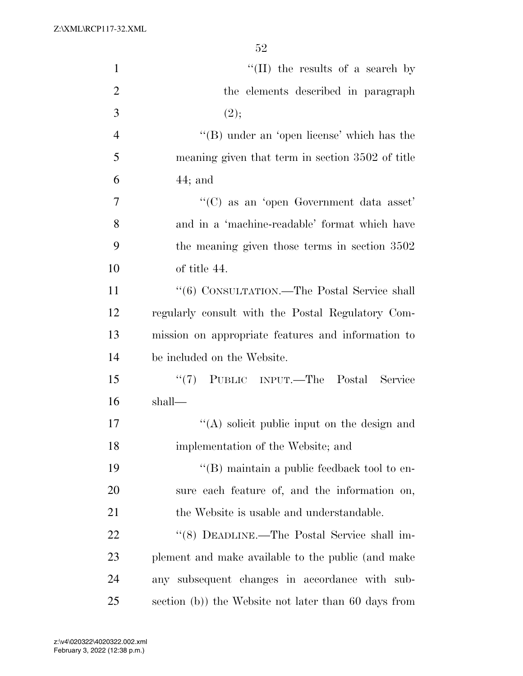| $\mathbf{1}$   | "(II) the results of a search by                     |
|----------------|------------------------------------------------------|
| $\overline{2}$ | the elements described in paragraph                  |
| $\mathfrak{Z}$ | (2);                                                 |
| $\overline{4}$ | $\lq\lq$ (B) under an 'open license' which has the   |
| 5              | meaning given that term in section 3502 of title     |
| 6              | $44;$ and                                            |
| 7              | "(C) as an 'open Government data asset"              |
| 8              | and in a 'machine-readable' format which have        |
| 9              | the meaning given those terms in section 3502        |
| 10             | of title 44.                                         |
| 11             | "(6) CONSULTATION.—The Postal Service shall          |
| 12             | regularly consult with the Postal Regulatory Com-    |
| 13             | mission on appropriate features and information to   |
| 14             | be included on the Website.                          |
| 15             | "(7) PUBLIC INPUT.—The Postal Service                |
| 16             | shall—                                               |
| 17             | "(A) solicit public input on the design and          |
| 18             | implementation of the Website; and                   |
| 19             | $\lq\lq$ (B) maintain a public feedback tool to en-  |
| 20             | sure each feature of, and the information on,        |
| 21             | the Website is usable and understandable.            |
| 22             | "(8) DEADLINE.—The Postal Service shall im-          |
| 23             | plement and make available to the public (and make   |
| 24             | any subsequent changes in accordance with sub-       |
| 25             | section (b)) the Website not later than 60 days from |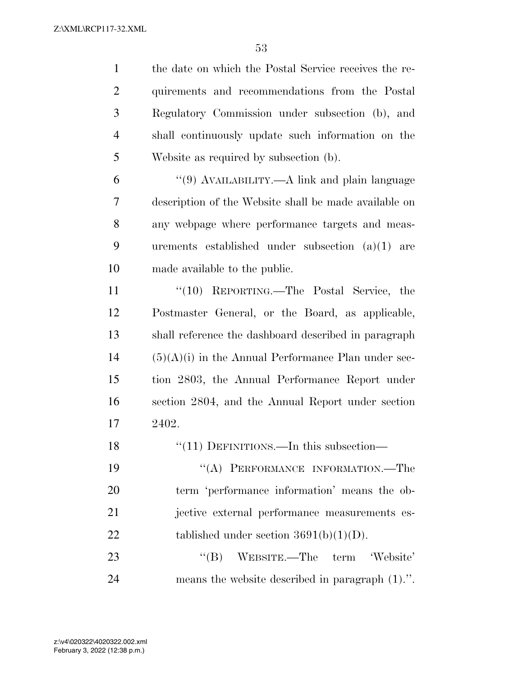| $\mathbf{1}$   | the date on which the Postal Service receives the re- |
|----------------|-------------------------------------------------------|
| $\overline{c}$ | quirements and recommendations from the Postal        |
| 3              | Regulatory Commission under subsection (b), and       |
| $\overline{4}$ | shall continuously update such information on the     |
| 5              | Website as required by subsection (b).                |
| 6              | "(9) AVAILABILITY.—A link and plain language          |
| 7              | description of the Website shall be made available on |
| 8              | any webpage where performance targets and meas-       |
| 9              | urements established under subsection $(a)(1)$ are    |
| 10             | made available to the public.                         |
| 11             | " $(10)$ REPORTING.—The Postal Service, the           |
| 12             | Postmaster General, or the Board, as applicable,      |
| 13             | shall reference the dashboard described in paragraph  |
| 14             | $(5)(A)(i)$ in the Annual Performance Plan under sec- |
| 15             | tion 2803, the Annual Performance Report under        |
| 16             | section 2804, and the Annual Report under section     |
| 17             | 2402.                                                 |
| 18             | "(11) DEFINITIONS.—In this subsection—                |
| 19             | "(A) PERFORMANCE INFORMATION.—The                     |
| 20             | term 'performance information' means the ob-          |
| 21             | jective external performance measurements es-         |
| 22             | tablished under section $3691(b)(1)(D)$ .             |
| 23             | $\lq\lq (B)$ WEBSITE.—The term<br>'Website'           |
| 24             | means the website described in paragraph $(1)$ .".    |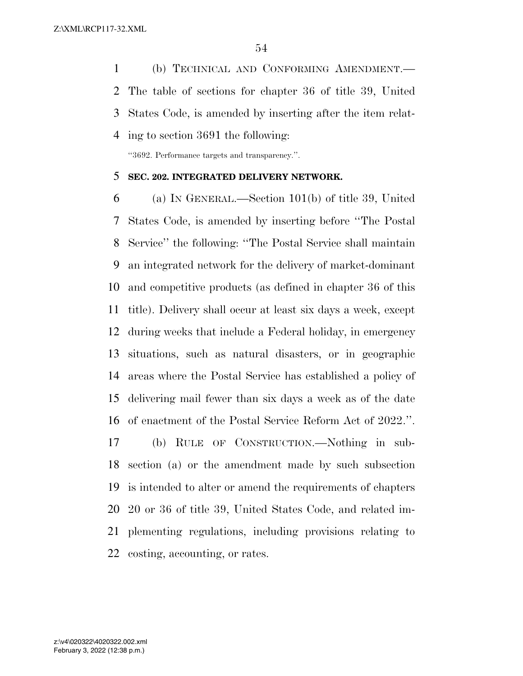(b) TECHNICAL AND CONFORMING AMENDMENT.— The table of sections for chapter 36 of title 39, United States Code, is amended by inserting after the item relat-ing to section 3691 the following:

''3692. Performance targets and transparency.''.

## **SEC. 202. INTEGRATED DELIVERY NETWORK.**

 (a) IN GENERAL.—Section 101(b) of title 39, United States Code, is amended by inserting before ''The Postal Service'' the following: ''The Postal Service shall maintain an integrated network for the delivery of market-dominant and competitive products (as defined in chapter 36 of this title). Delivery shall occur at least six days a week, except during weeks that include a Federal holiday, in emergency situations, such as natural disasters, or in geographic areas where the Postal Service has established a policy of delivering mail fewer than six days a week as of the date of enactment of the Postal Service Reform Act of 2022.''.

 (b) RULE OF CONSTRUCTION.—Nothing in sub- section (a) or the amendment made by such subsection is intended to alter or amend the requirements of chapters 20 or 36 of title 39, United States Code, and related im- plementing regulations, including provisions relating to costing, accounting, or rates.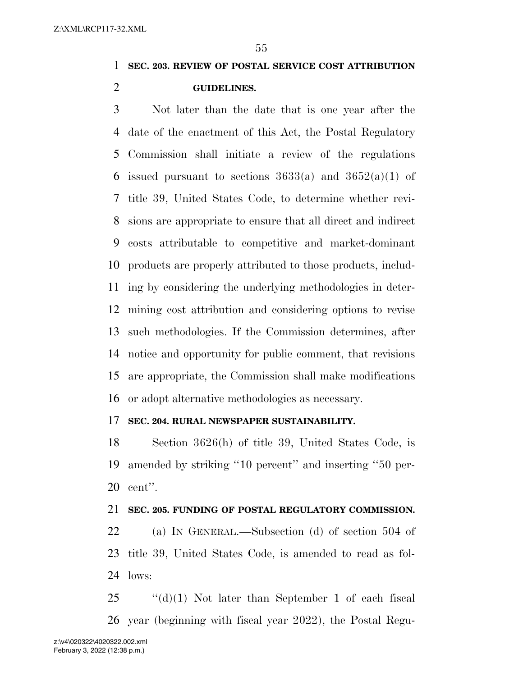**SEC. 203. REVIEW OF POSTAL SERVICE COST ATTRIBUTION GUIDELINES.** 

 Not later than the date that is one year after the date of the enactment of this Act, the Postal Regulatory Commission shall initiate a review of the regulations 6 issued pursuant to sections  $3633(a)$  and  $3652(a)(1)$  of title 39, United States Code, to determine whether revi- sions are appropriate to ensure that all direct and indirect costs attributable to competitive and market-dominant products are properly attributed to those products, includ- ing by considering the underlying methodologies in deter- mining cost attribution and considering options to revise such methodologies. If the Commission determines, after notice and opportunity for public comment, that revisions are appropriate, the Commission shall make modifications or adopt alternative methodologies as necessary.

### **SEC. 204. RURAL NEWSPAPER SUSTAINABILITY.**

 Section 3626(h) of title 39, United States Code, is amended by striking ''10 percent'' and inserting ''50 per-cent''.

### **SEC. 205. FUNDING OF POSTAL REGULATORY COMMISSION.**

 (a) IN GENERAL.—Subsection (d) of section 504 of title 39, United States Code, is amended to read as fol-lows:

 ''(d)(1) Not later than September 1 of each fiscal year (beginning with fiscal year 2022), the Postal Regu-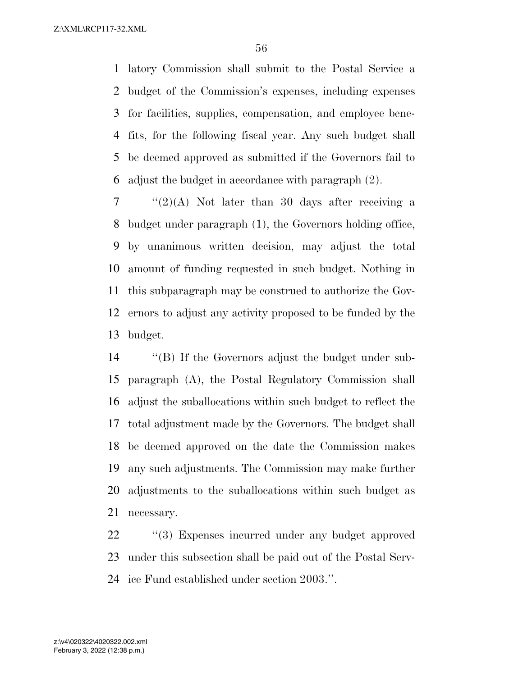latory Commission shall submit to the Postal Service a budget of the Commission's expenses, including expenses for facilities, supplies, compensation, and employee bene- fits, for the following fiscal year. Any such budget shall be deemed approved as submitted if the Governors fail to adjust the budget in accordance with paragraph (2).

 ''(2)(A) Not later than 30 days after receiving a budget under paragraph (1), the Governors holding office, by unanimous written decision, may adjust the total amount of funding requested in such budget. Nothing in this subparagraph may be construed to authorize the Gov- ernors to adjust any activity proposed to be funded by the budget.

 ''(B) If the Governors adjust the budget under sub- paragraph (A), the Postal Regulatory Commission shall adjust the suballocations within such budget to reflect the total adjustment made by the Governors. The budget shall be deemed approved on the date the Commission makes any such adjustments. The Commission may make further adjustments to the suballocations within such budget as necessary.

 ''(3) Expenses incurred under any budget approved under this subsection shall be paid out of the Postal Serv-ice Fund established under section 2003.''.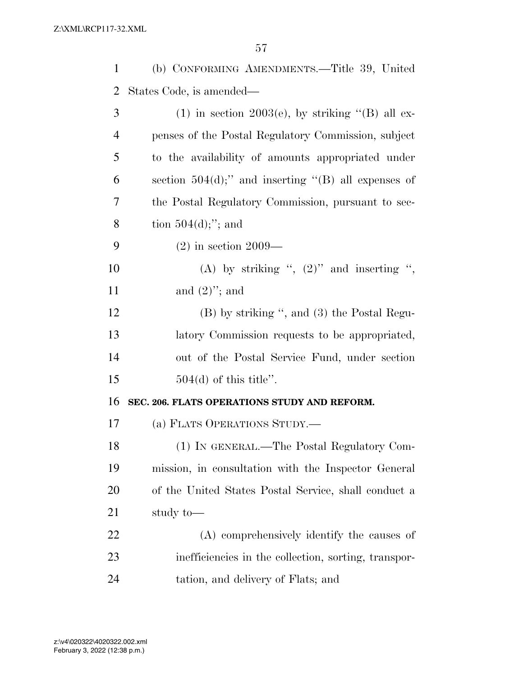| $\mathbf{1}$   | (b) CONFORMING AMENDMENTS.—Title 39, United            |
|----------------|--------------------------------------------------------|
| $\overline{2}$ | States Code, is amended—                               |
| 3              | (1) in section 2003(e), by striking "(B) all ex-       |
| $\overline{4}$ | penses of the Postal Regulatory Commission, subject    |
| 5              | to the availability of amounts appropriated under      |
| 6              | section $504(d)$ ;" and inserting "(B) all expenses of |
| 7              | the Postal Regulatory Commission, pursuant to sec-     |
| 8              | tion $504(d);$ "; and                                  |
| 9              | $(2)$ in section 2009—                                 |
| 10             | (A) by striking ", $(2)$ " and inserting ",            |
| 11             | and $(2)$ "; and                                       |
| 12             | (B) by striking ", and (3) the Postal Regu-            |
| 13             | latory Commission requests to be appropriated,         |
| 14             | out of the Postal Service Fund, under section          |
| 15             | $504(d)$ of this title".                               |
| 16             | SEC. 206. FLATS OPERATIONS STUDY AND REFORM.           |
| 17             | (a) FLATS OPERATIONS STUDY.                            |
| 18             | (1) IN GENERAL.—The Postal Regulatory Com-             |
| 19             | mission, in consultation with the Inspector General    |
| 20             | of the United States Postal Service, shall conduct a   |
| 21             | study to-                                              |
| 22             | (A) comprehensively identify the causes of             |
| 23             | inefficiencies in the collection, sorting, transpor-   |
| 24             | tation, and delivery of Flats; and                     |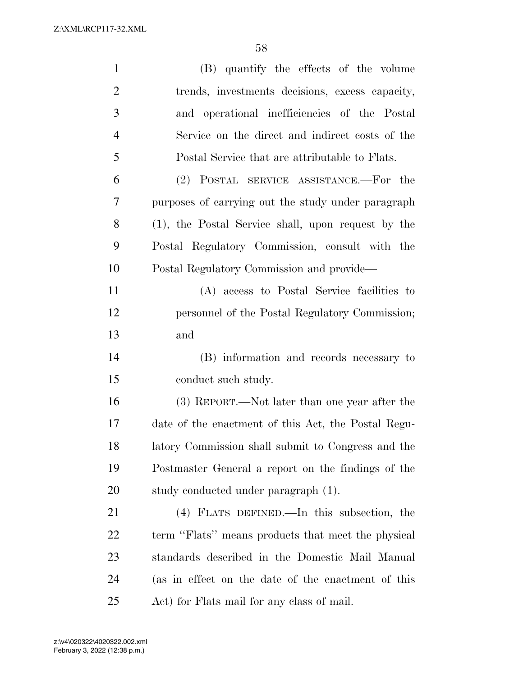| $\mathbf{1}$   | (B) quantify the effects of the volume              |
|----------------|-----------------------------------------------------|
| $\overline{2}$ | trends, investments decisions, excess capacity,     |
| 3              | and operational inefficiencies of the Postal        |
| $\overline{4}$ | Service on the direct and indirect costs of the     |
| 5              | Postal Service that are attributable to Flats.      |
| 6              | (2) POSTAL SERVICE ASSISTANCE.—For the              |
| 7              | purposes of carrying out the study under paragraph  |
| 8              | (1), the Postal Service shall, upon request by the  |
| 9              | Postal Regulatory Commission, consult with the      |
| 10             | Postal Regulatory Commission and provide—           |
| 11             | (A) access to Postal Service facilities to          |
| 12             | personnel of the Postal Regulatory Commission;      |
| 13             | and                                                 |
| 14             | (B) information and records necessary to            |
| 15             | conduct such study.                                 |
| 16             | (3) REPORT.—Not later than one year after the       |
| 17             | date of the enactment of this Act, the Postal Regu- |
| 18             | latory Commission shall submit to Congress and the  |
| 19             | Postmaster General a report on the findings of the  |
| 20             | study conducted under paragraph (1).                |
| 21             | (4) FLATS DEFINED.—In this subsection, the          |
| 22             | term "Flats" means products that meet the physical  |
| 23             | standards described in the Domestic Mail Manual     |
| 24             | (as in effect on the date of the enactment of this  |
| 25             | Act) for Flats mail for any class of mail.          |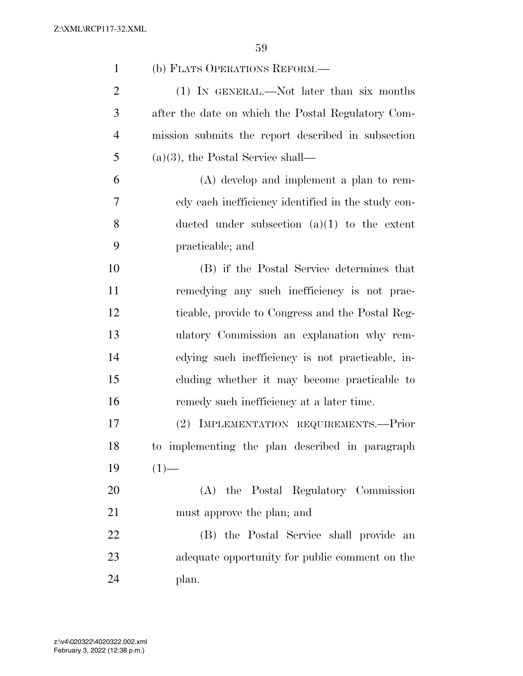| $\mathbf{1}$   | (b) FLATS OPERATIONS REFORM.—                      |
|----------------|----------------------------------------------------|
| $\overline{2}$ | (1) IN GENERAL.—Not later than six months          |
| 3              | after the date on which the Postal Regulatory Com- |
| $\overline{4}$ | mission submits the report described in subsection |
| 5              | $(a)(3)$ , the Postal Service shall—               |
| 6              | $(A)$ develop and implement a plan to rem-         |
| $\overline{7}$ | edy each inefficiency identified in the study con- |
| 8              | ducted under subsection $(a)(1)$ to the extent     |
| 9              | practicable; and                                   |
| 10             | (B) if the Postal Service determines that          |
| 11             | remedying any such inefficiency is not prac-       |
| 12             | ticable, provide to Congress and the Postal Reg-   |
| 13             | ulatory Commission an explanation why rem-         |
| 14             | edying such inefficiency is not practicable, in-   |
| 15             | cluding whether it may become practicable to       |
| 16             | remedy such inefficiency at a later time.          |
| 17             | IMPLEMENTATION REQUIREMENTS.-Prior<br>$(2)^{-}$    |
| 18             | to implementing the plan described in paragraph    |
| 19             | $(1)$ —                                            |
| 20             | (A) the Postal Regulatory Commission               |
| 21             | must approve the plan; and                         |
| 22             | (B) the Postal Service shall provide an            |
| 23             | adequate opportunity for public comment on the     |
| 24             | plan.                                              |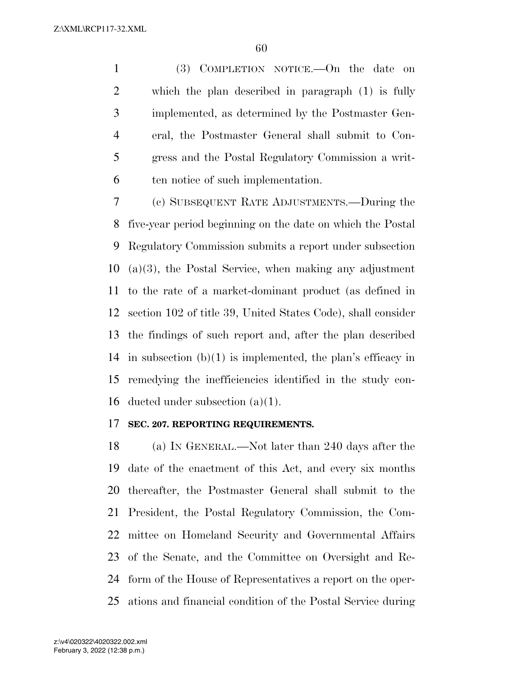(3) COMPLETION NOTICE.—On the date on which the plan described in paragraph (1) is fully implemented, as determined by the Postmaster Gen- eral, the Postmaster General shall submit to Con- gress and the Postal Regulatory Commission a writ-ten notice of such implementation.

 (c) SUBSEQUENT RATE ADJUSTMENTS.—During the five-year period beginning on the date on which the Postal Regulatory Commission submits a report under subsection (a)(3), the Postal Service, when making any adjustment to the rate of a market-dominant product (as defined in section 102 of title 39, United States Code), shall consider the findings of such report and, after the plan described 14 in subsection  $(b)(1)$  is implemented, the plan's efficacy in remedying the inefficiencies identified in the study con-ducted under subsection (a)(1).

### **SEC. 207. REPORTING REQUIREMENTS.**

 (a) IN GENERAL.—Not later than 240 days after the date of the enactment of this Act, and every six months thereafter, the Postmaster General shall submit to the President, the Postal Regulatory Commission, the Com- mittee on Homeland Security and Governmental Affairs of the Senate, and the Committee on Oversight and Re- form of the House of Representatives a report on the oper-ations and financial condition of the Postal Service during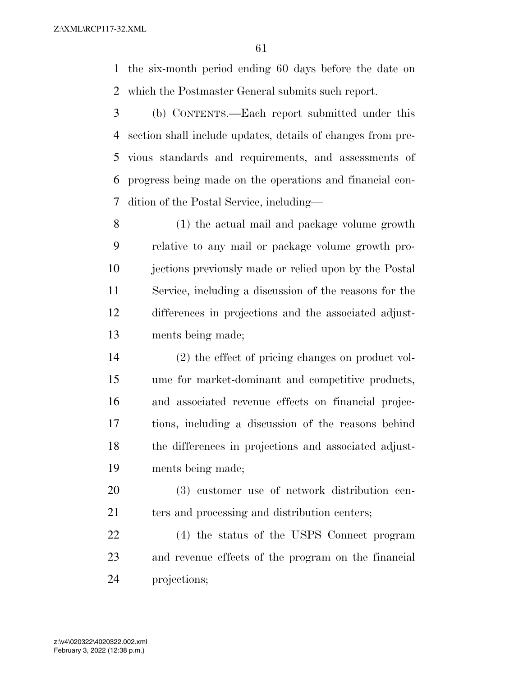the six-month period ending 60 days before the date on which the Postmaster General submits such report.

 (b) CONTENTS.—Each report submitted under this section shall include updates, details of changes from pre- vious standards and requirements, and assessments of progress being made on the operations and financial con-dition of the Postal Service, including—

 (1) the actual mail and package volume growth relative to any mail or package volume growth pro- jections previously made or relied upon by the Postal Service, including a discussion of the reasons for the differences in projections and the associated adjust-ments being made;

 (2) the effect of pricing changes on product vol- ume for market-dominant and competitive products, and associated revenue effects on financial projec- tions, including a discussion of the reasons behind the differences in projections and associated adjust-ments being made;

 (3) customer use of network distribution cen-21 ters and processing and distribution centers;

 (4) the status of the USPS Connect program and revenue effects of the program on the financial projections;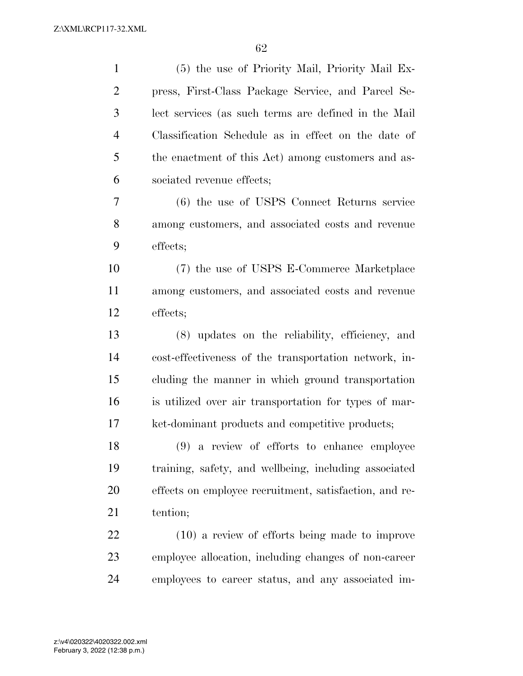| $\mathbf{1}$   | (5) the use of Priority Mail, Priority Mail Ex-        |
|----------------|--------------------------------------------------------|
| $\overline{c}$ | press, First-Class Package Service, and Parcel Se-     |
| 3              | lect services (as such terms are defined in the Mail   |
| $\overline{4}$ | Classification Schedule as in effect on the date of    |
| 5              | the enactment of this Act) among customers and as-     |
| 6              | sociated revenue effects;                              |
| 7              | (6) the use of USPS Connect Returns service            |
| 8              | among customers, and associated costs and revenue      |
| 9              | effects;                                               |
| 10             | (7) the use of USPS E-Commerce Marketplace             |
| 11             | among customers, and associated costs and revenue      |
| 12             | effects;                                               |
| 13             | (8) updates on the reliability, efficiency, and        |
| 14             | cost-effectiveness of the transportation network, in-  |
| 15             | cluding the manner in which ground transportation      |
| 16             | is utilized over air transportation for types of mar-  |
| 17             | ket-dominant products and competitive products;        |
| 18             | $(9)$ a review of efforts to enhance employee          |
| 19             | training, safety, and wellbeing, including associated  |
| 20             | effects on employee recruitment, satisfaction, and re- |
| 21             | tention;                                               |
| 22             | $(10)$ a review of efforts being made to improve       |
| 23             | employee allocation, including changes of non-career   |
| 24             | employees to career status, and any associated im-     |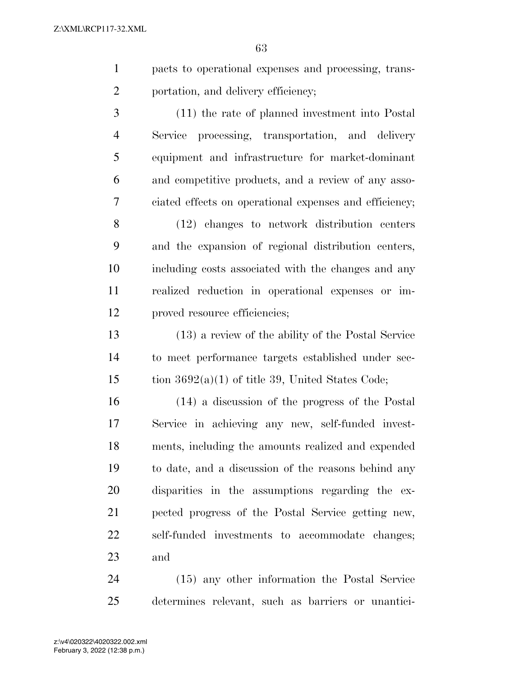- pacts to operational expenses and processing, trans-2 portation, and delivery efficiency;
- (11) the rate of planned investment into Postal Service processing, transportation, and delivery equipment and infrastructure for market-dominant and competitive products, and a review of any asso-ciated effects on operational expenses and efficiency;
- (12) changes to network distribution centers and the expansion of regional distribution centers, including costs associated with the changes and any realized reduction in operational expenses or im-proved resource efficiencies;
- (13) a review of the ability of the Postal Service to meet performance targets established under sec-15 tion  $3692(a)(1)$  of title 39, United States Code;
- (14) a discussion of the progress of the Postal Service in achieving any new, self-funded invest- ments, including the amounts realized and expended to date, and a discussion of the reasons behind any disparities in the assumptions regarding the ex- pected progress of the Postal Service getting new, self-funded investments to accommodate changes; and

 (15) any other information the Postal Service determines relevant, such as barriers or unantici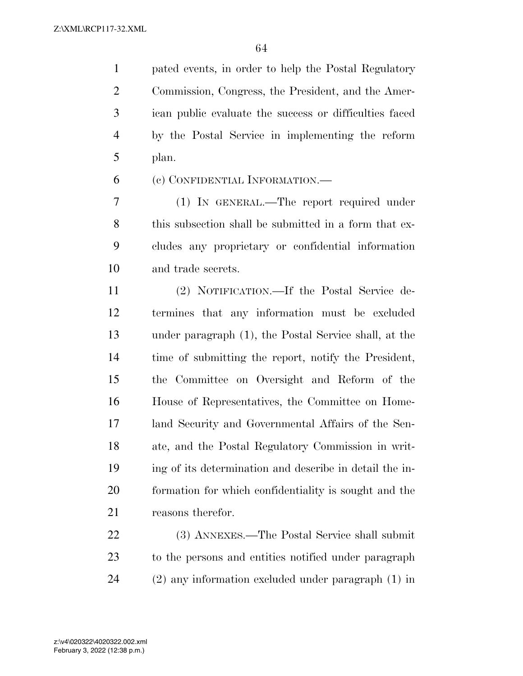pated events, in order to help the Postal Regulatory Commission, Congress, the President, and the Amer- ican public evaluate the success or difficulties faced by the Postal Service in implementing the reform plan.

(c) CONFIDENTIAL INFORMATION.—

 (1) IN GENERAL.—The report required under this subsection shall be submitted in a form that ex- cludes any proprietary or confidential information and trade secrets.

 (2) NOTIFICATION.—If the Postal Service de- termines that any information must be excluded under paragraph (1), the Postal Service shall, at the time of submitting the report, notify the President, the Committee on Oversight and Reform of the House of Representatives, the Committee on Home- land Security and Governmental Affairs of the Sen- ate, and the Postal Regulatory Commission in writ- ing of its determination and describe in detail the in- formation for which confidentiality is sought and the reasons therefor.

 (3) ANNEXES.—The Postal Service shall submit to the persons and entities notified under paragraph (2) any information excluded under paragraph (1) in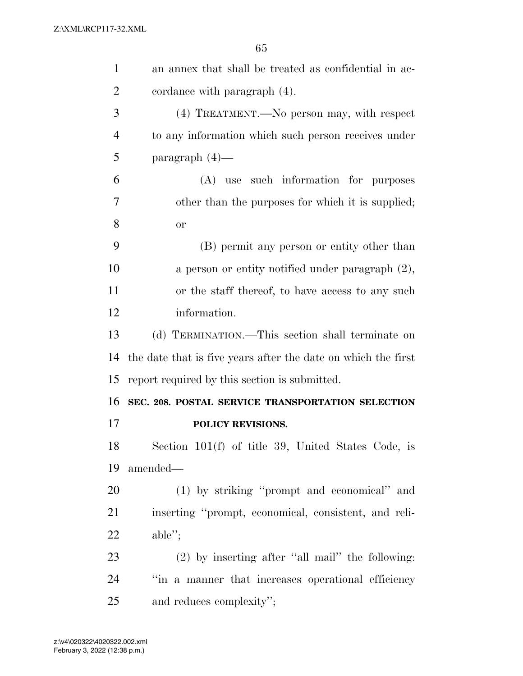| 1              | an annex that shall be treated as confidential in ac-         |
|----------------|---------------------------------------------------------------|
| $\overline{2}$ | cordance with paragraph (4).                                  |
| 3              | (4) TREATMENT.—No person may, with respect                    |
| $\overline{4}$ | to any information which such person receives under           |
| 5              | paragraph $(4)$ —                                             |
| 6              | (A) use such information for purposes                         |
| 7              | other than the purposes for which it is supplied;             |
| 8              | or                                                            |
| 9              | (B) permit any person or entity other than                    |
| 10             | a person or entity notified under paragraph $(2)$ ,           |
| 11             | or the staff thereof, to have access to any such              |
| 12             | information.                                                  |
| 13             | (d) TERMINATION.—This section shall terminate on              |
| 14             | the date that is five years after the date on which the first |
| 15             | report required by this section is submitted.                 |
| 16             | SEC. 208. POSTAL SERVICE TRANSPORTATION SELECTION             |
| 17             | POLICY REVISIONS.                                             |
| 18             | Section $101(f)$ of title 39, United States Code, is          |
| 19             | amended—                                                      |
| 20             | (1) by striking "prompt and economical" and                   |
| 21             | inserting "prompt, economical, consistent, and reli-          |
| 22             | $able''$ ;                                                    |
| 23             | $(2)$ by inserting after "all mail" the following:            |
| 24             | "in a manner that increases operational efficiency            |
| 25             | and reduces complexity";                                      |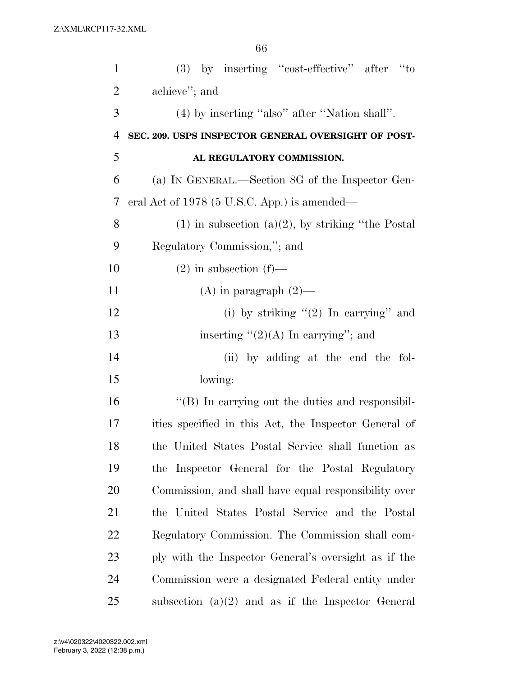| $\mathbf{1}$   | $(3)$ by inserting "cost-effective" after "to           |
|----------------|---------------------------------------------------------|
| 2              | achieve"; and                                           |
| 3              | (4) by inserting "also" after "Nation shall".           |
| $\overline{4}$ | SEC. 209. USPS INSPECTOR GENERAL OVERSIGHT OF POST-     |
| 5              | AL REGULATORY COMMISSION.                               |
| 6              | (a) IN GENERAL.—Section 8G of the Inspector Gen-        |
| 7              | eral Act of 1978 (5 U.S.C. App.) is amended—            |
| 8              | $(1)$ in subsection $(a)(2)$ , by striking "the Postal" |
| 9              | Regulatory Commission,"; and                            |
| 10             | $(2)$ in subsection $(f)$ —                             |
| 11             | (A) in paragraph $(2)$ —                                |
| 12             | (i) by striking $(2)$ In carrying" and                  |
| 13             | inserting $\lq(2)(A)$ In carrying"; and                 |
| 14             | (ii) by adding at the end the fol-                      |
| 15             | lowing:                                                 |
| 16             | "(B) In carrying out the duties and responsibil-        |
| 17             | ities specified in this Act, the Inspector General of   |
| 18             | the United States Postal Service shall function as      |
| 19             | the Inspector General for the Postal Regulatory         |
| 20             | Commission, and shall have equal responsibility over    |
| 21             | the United States Postal Service and the Postal         |
| 22             | Regulatory Commission. The Commission shall com-        |
| 23             | ply with the Inspector General's oversight as if the    |
| 24             | Commission were a designated Federal entity under       |
| 25             | subsection $(a)(2)$ and as if the Inspector General     |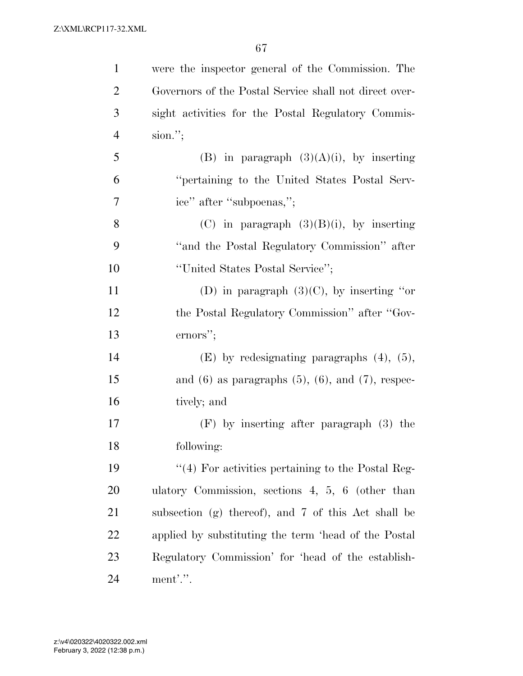| $\mathbf{1}$   | were the inspector general of the Commission. The           |
|----------------|-------------------------------------------------------------|
| $\overline{2}$ | Governors of the Postal Service shall not direct over-      |
| 3              | sight activities for the Postal Regulatory Commis-          |
| $\overline{4}$ | sion."                                                      |
| 5              | (B) in paragraph $(3)(A)(i)$ , by inserting                 |
| 6              | "pertaining to the United States Postal Serv-               |
| 7              | ice" after "subpoenas,";                                    |
| 8              | (C) in paragraph $(3)(B)(i)$ , by inserting                 |
| 9              | "and the Postal Regulatory Commission" after                |
| 10             | "United States Postal Service";                             |
| 11             | (D) in paragraph $(3)(C)$ , by inserting "or                |
| 12             | the Postal Regulatory Commission" after "Gov-               |
| 13             | ernors";                                                    |
| 14             | $(E)$ by redesignating paragraphs $(4)$ , $(5)$ ,           |
| 15             | and $(6)$ as paragraphs $(5)$ , $(6)$ , and $(7)$ , respec- |
| 16             | tively; and                                                 |
| 17             | $(F)$ by inserting after paragraph $(3)$ the                |
| 18             | following:                                                  |
| 19             | $\cdot$ (4) For activities pertaining to the Postal Reg-    |
| <b>20</b>      | ulatory Commission, sections $4, 5, 6$ (other than          |
| 21             | subsection (g) thereof), and 7 of this Act shall be         |
| <u>22</u>      | applied by substituting the term 'head of the Postal        |
| 23             | Regulatory Commission' for 'head of the establish-          |
| 24             | ment'.".                                                    |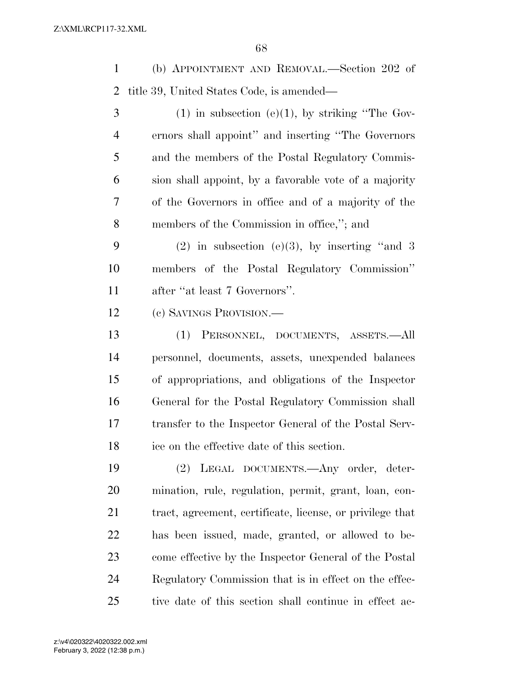(b) APPOINTMENT AND REMOVAL.—Section 202 of title 39, United States Code, is amended—

 (1) in subsection (e)(1), by striking "The Gov- ernors shall appoint'' and inserting ''The Governors and the members of the Postal Regulatory Commis- sion shall appoint, by a favorable vote of a majority of the Governors in office and of a majority of the members of the Commission in office,''; and

9 (2) in subsection (e)(3), by inserting "and 3 members of the Postal Regulatory Commission'' after ''at least 7 Governors''.

(c) SAVINGS PROVISION.—

 (1) PERSONNEL, DOCUMENTS, ASSETS.—All personnel, documents, assets, unexpended balances of appropriations, and obligations of the Inspector General for the Postal Regulatory Commission shall transfer to the Inspector General of the Postal Serv-ice on the effective date of this section.

 (2) LEGAL DOCUMENTS.—Any order, deter- mination, rule, regulation, permit, grant, loan, con- tract, agreement, certificate, license, or privilege that has been issued, made, granted, or allowed to be- come effective by the Inspector General of the Postal Regulatory Commission that is in effect on the effec-tive date of this section shall continue in effect ac-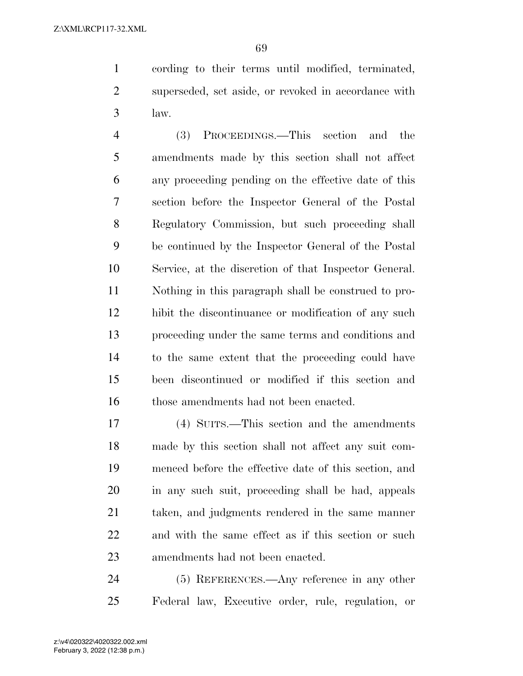cording to their terms until modified, terminated, superseded, set aside, or revoked in accordance with law.

 (3) PROCEEDINGS.—This section and the amendments made by this section shall not affect any proceeding pending on the effective date of this section before the Inspector General of the Postal Regulatory Commission, but such proceeding shall be continued by the Inspector General of the Postal Service, at the discretion of that Inspector General. Nothing in this paragraph shall be construed to pro- hibit the discontinuance or modification of any such proceeding under the same terms and conditions and to the same extent that the proceeding could have been discontinued or modified if this section and 16 those amendments had not been enacted.

 (4) SUITS.—This section and the amendments made by this section shall not affect any suit com- menced before the effective date of this section, and in any such suit, proceeding shall be had, appeals taken, and judgments rendered in the same manner and with the same effect as if this section or such amendments had not been enacted.

 (5) REFERENCES.—Any reference in any other Federal law, Executive order, rule, regulation, or